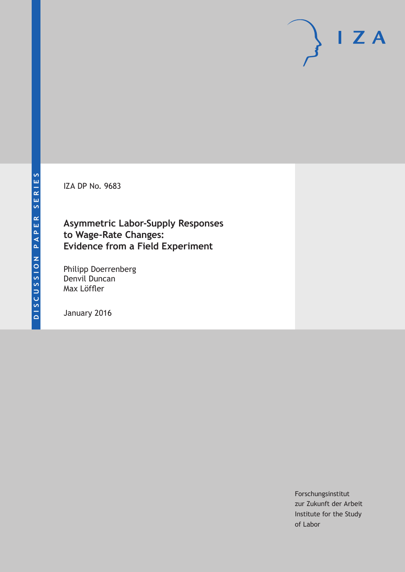IZA DP No. 9683

### **Asymmetric Labor-Supply Responses to Wage-Rate Changes: Evidence from a Field Experiment**

Philipp Doerrenberg Denvil Duncan Max Löffler

January 2016

Forschungsinstitut zur Zukunft der Arbeit Institute for the Study of Labor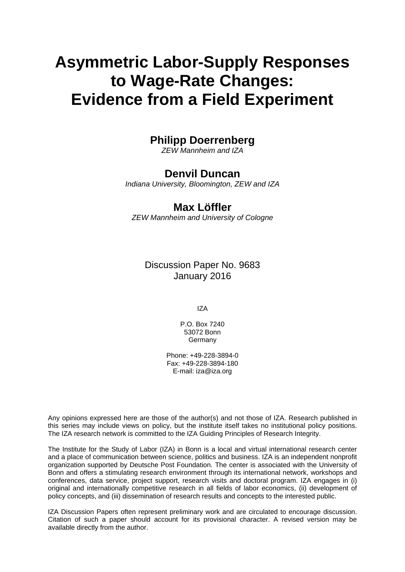# **Asymmetric Labor-Supply Responses to Wage-Rate Changes: Evidence from a Field Experiment**

### **Philipp Doerrenberg**

*ZEW Mannheim and IZA* 

### **Denvil Duncan**

*Indiana University, Bloomington, ZEW and IZA* 

### **Max Löffler**

*ZEW Mannheim and University of Cologne*

Discussion Paper No. 9683 January 2016

IZA

P.O. Box 7240 53072 Bonn **Germany** 

Phone: +49-228-3894-0 Fax: +49-228-3894-180 E-mail: iza@iza.org

Any opinions expressed here are those of the author(s) and not those of IZA. Research published in this series may include views on policy, but the institute itself takes no institutional policy positions. The IZA research network is committed to the IZA Guiding Principles of Research Integrity.

The Institute for the Study of Labor (IZA) in Bonn is a local and virtual international research center and a place of communication between science, politics and business. IZA is an independent nonprofit organization supported by Deutsche Post Foundation. The center is associated with the University of Bonn and offers a stimulating research environment through its international network, workshops and conferences, data service, project support, research visits and doctoral program. IZA engages in (i) original and internationally competitive research in all fields of labor economics, (ii) development of policy concepts, and (iii) dissemination of research results and concepts to the interested public.

IZA Discussion Papers often represent preliminary work and are circulated to encourage discussion. Citation of such a paper should account for its provisional character. A revised version may be available directly from the author.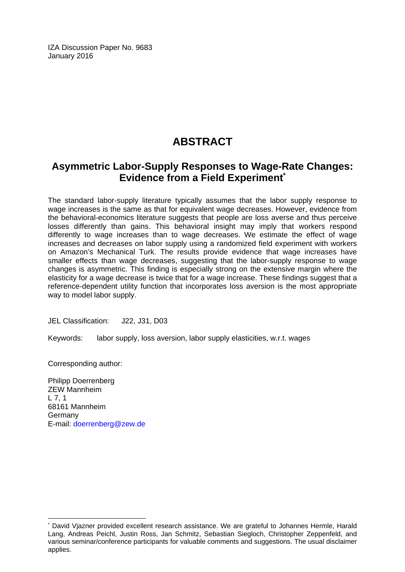IZA Discussion Paper No. 9683 January 2016

### **ABSTRACT**

### **Asymmetric Labor-Supply Responses to Wage-Rate Changes: Evidence from a Field Experiment\***

The standard labor-supply literature typically assumes that the labor supply response to wage increases is the same as that for equivalent wage decreases. However, evidence from the behavioral-economics literature suggests that people are loss averse and thus perceive losses differently than gains. This behavioral insight may imply that workers respond differently to wage increases than to wage decreases. We estimate the effect of wage increases and decreases on labor supply using a randomized field experiment with workers on Amazon's Mechanical Turk. The results provide evidence that wage increases have smaller effects than wage decreases, suggesting that the labor-supply response to wage changes is asymmetric. This finding is especially strong on the extensive margin where the elasticity for a wage decrease is twice that for a wage increase. These findings suggest that a reference-dependent utility function that incorporates loss aversion is the most appropriate way to model labor supply.

JEL Classification: J22, J31, D03

Keywords: labor supply, loss aversion, labor supply elasticities, w.r.t. wages

Corresponding author:

 $\overline{a}$ 

Philipp Doerrenberg ZEW Mannheim  $L$  7, 1 68161 Mannheim Germany E-mail: doerrenberg@zew.de

<sup>\*</sup> David Vjazner provided excellent research assistance. We are grateful to Johannes Hermle, Harald Lang, Andreas Peichl, Justin Ross, Jan Schmitz, Sebastian Siegloch, Christopher Zeppenfeld, and various seminar/conference participants for valuable comments and suggestions. The usual disclaimer applies.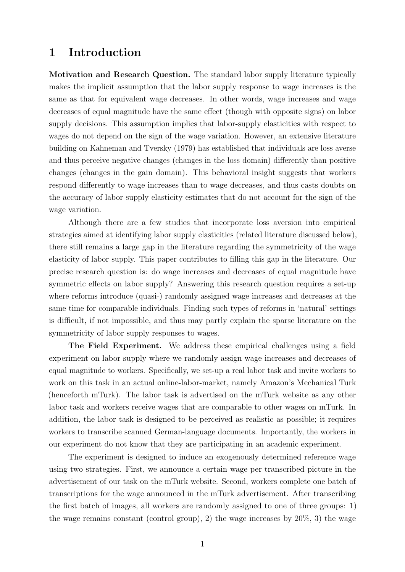### 1 Introduction

Motivation and Research Question. The standard labor supply literature typically makes the implicit assumption that the labor supply response to wage increases is the same as that for equivalent wage decreases. In other words, wage increases and wage decreases of equal magnitude have the same effect (though with opposite signs) on labor supply decisions. This assumption implies that labor-supply elasticities with respect to wages do not depend on the sign of the wage variation. However, an extensive literature building on [Kahneman and Tversky](#page-24-0) [\(1979\)](#page-24-0) has established that individuals are loss averse and thus perceive negative changes (changes in the loss domain) differently than positive changes (changes in the gain domain). This behavioral insight suggests that workers respond differently to wage increases than to wage decreases, and thus casts doubts on the accuracy of labor supply elasticity estimates that do not account for the sign of the wage variation.

Although there are a few studies that incorporate loss aversion into empirical strategies aimed at identifying labor supply elasticities (related literature discussed below), there still remains a large gap in the literature regarding the symmetricity of the wage elasticity of labor supply. This paper contributes to filling this gap in the literature. Our precise research question is: do wage increases and decreases of equal magnitude have symmetric effects on labor supply? Answering this research question requires a set-up where reforms introduce (quasi-) randomly assigned wage increases and decreases at the same time for comparable individuals. Finding such types of reforms in 'natural' settings is difficult, if not impossible, and thus may partly explain the sparse literature on the symmetricity of labor supply responses to wages.

The Field Experiment. We address these empirical challenges using a field experiment on labor supply where we randomly assign wage increases and decreases of equal magnitude to workers. Specifically, we set-up a real labor task and invite workers to work on this task in an actual online-labor-market, namely Amazon's Mechanical Turk (henceforth mTurk). The labor task is advertised on the mTurk website as any other labor task and workers receive wages that are comparable to other wages on mTurk. In addition, the labor task is designed to be perceived as realistic as possible; it requires workers to transcribe scanned German-language documents. Importantly, the workers in our experiment do not know that they are participating in an academic experiment.

The experiment is designed to induce an exogenously determined reference wage using two strategies. First, we announce a certain wage per transcribed picture in the advertisement of our task on the mTurk website. Second, workers complete one batch of transcriptions for the wage announced in the mTurk advertisement. After transcribing the first batch of images, all workers are randomly assigned to one of three groups: 1) the wage remains constant (control group), 2) the wage increases by 20%, 3) the wage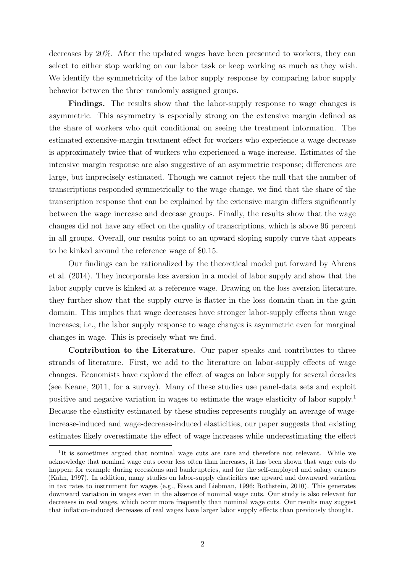decreases by 20%. After the updated wages have been presented to workers, they can select to either stop working on our labor task or keep working as much as they wish. We identify the symmetricity of the labor supply response by comparing labor supply behavior between the three randomly assigned groups.

Findings. The results show that the labor-supply response to wage changes is asymmetric. This asymmetry is especially strong on the extensive margin defined as the share of workers who quit conditional on seeing the treatment information. The estimated extensive-margin treatment effect for workers who experience a wage decrease is approximately twice that of workers who experienced a wage increase. Estimates of the intensive margin response are also suggestive of an asymmetric response; differences are large, but imprecisely estimated. Though we cannot reject the null that the number of transcriptions responded symmetrically to the wage change, we find that the share of the transcription response that can be explained by the extensive margin differs significantly between the wage increase and decease groups. Finally, the results show that the wage changes did not have any effect on the quality of transcriptions, which is above 96 percent in all groups. Overall, our results point to an upward sloping supply curve that appears to be kinked around the reference wage of \$0.15.

Our findings can be rationalized by the theoretical model put forward by [Ahrens](#page-23-0) [et al.](#page-23-0) [\(2014\)](#page-23-0). They incorporate loss aversion in a model of labor supply and show that the labor supply curve is kinked at a reference wage. Drawing on the loss aversion literature, they further show that the supply curve is flatter in the loss domain than in the gain domain. This implies that wage decreases have stronger labor-supply effects than wage increases; i.e., the labor supply response to wage changes is asymmetric even for marginal changes in wage. This is precisely what we find.

Contribution to the Literature. Our paper speaks and contributes to three strands of literature. First, we add to the literature on labor-supply effects of wage changes. Economists have explored the effect of wages on labor supply for several decades (see [Keane, 2011,](#page-24-1) for a survey). Many of these studies use panel-data sets and exploit positive and negative variation in wages to estimate the wage elasticity of labor supply.[1](#page-4-0) Because the elasticity estimated by these studies represents roughly an average of wageincrease-induced and wage-decrease-induced elasticities, our paper suggests that existing estimates likely overestimate the effect of wage increases while underestimating the effect

<span id="page-4-0"></span><sup>&</sup>lt;sup>1</sup>It is sometimes argued that nominal wage cuts are rare and therefore not relevant. While we acknowledge that nominal wage cuts occur less often than increases, it has been shown that wage cuts do happen; for example during recessions and bankruptcies, and for the self-employed and salary earners [\(Kahn, 1997\)](#page-24-2). In addition, many studies on labor-supply elasticities use upward and downward variation in tax rates to instrument for wages (e.g., [Eissa and Liebman, 1996;](#page-23-1) [Rothstein, 2010\)](#page-25-0). This generates downward variation in wages even in the absence of nominal wage cuts. Our study is also relevant for decreases in real wages, which occur more frequently than nominal wage cuts. Our results may suggest that inflation-induced decreases of real wages have larger labor supply effects than previously thought.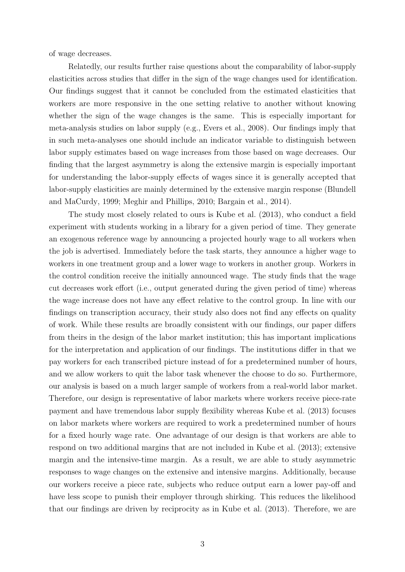of wage decreases.

Relatedly, our results further raise questions about the comparability of labor-supply elasticities across studies that differ in the sign of the wage changes used for identification. Our findings suggest that it cannot be concluded from the estimated elasticities that workers are more responsive in the one setting relative to another without knowing whether the sign of the wage changes is the same. This is especially important for meta-analysis studies on labor supply (e.g., [Evers et al., 2008\)](#page-23-2). Our findings imply that in such meta-analyses one should include an indicator variable to distinguish between labor supply estimates based on wage increases from those based on wage decreases. Our finding that the largest asymmetry is along the extensive margin is especially important for understanding the labor-supply effects of wages since it is generally accepted that labor-supply elasticities are mainly determined by the extensive margin response [\(Blundell](#page-23-3) [and MaCurdy, 1999;](#page-23-3) [Meghir and Phillips, 2010;](#page-25-1) [Bargain et al., 2014\)](#page-23-4).

The study most closely related to ours is [Kube et al.](#page-24-3) [\(2013\)](#page-24-3), who conduct a field experiment with students working in a library for a given period of time. They generate an exogenous reference wage by announcing a projected hourly wage to all workers when the job is advertised. Immediately before the task starts, they announce a higher wage to workers in one treatment group and a lower wage to workers in another group. Workers in the control condition receive the initially announced wage. The study finds that the wage cut decreases work effort (i.e., output generated during the given period of time) whereas the wage increase does not have any effect relative to the control group. In line with our findings on transcription accuracy, their study also does not find any effects on quality of work. While these results are broadly consistent with our findings, our paper differs from theirs in the design of the labor market institution; this has important implications for the interpretation and application of our findings. The institutions differ in that we pay workers for each transcribed picture instead of for a predetermined number of hours, and we allow workers to quit the labor task whenever the choose to do so. Furthermore, our analysis is based on a much larger sample of workers from a real-world labor market. Therefore, our design is representative of labor markets where workers receive piece-rate payment and have tremendous labor supply flexibility whereas [Kube et al.](#page-24-3) [\(2013\)](#page-24-3) focuses on labor markets where workers are required to work a predetermined number of hours for a fixed hourly wage rate. One advantage of our design is that workers are able to respond on two additional margins that are not included in [Kube et al.](#page-24-3) [\(2013\)](#page-24-3); extensive margin and the intensive-time margin. As a result, we are able to study asymmetric responses to wage changes on the extensive and intensive margins. Additionally, because our workers receive a piece rate, subjects who reduce output earn a lower pay-off and have less scope to punish their employer through shirking. This reduces the likelihood that our findings are driven by reciprocity as in [Kube et al.](#page-24-3) [\(2013\)](#page-24-3). Therefore, we are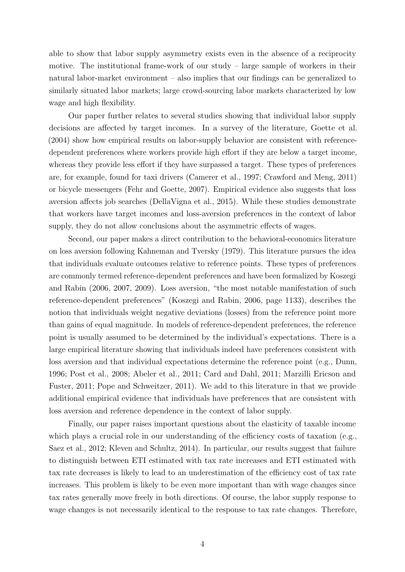able to show that labor supply asymmetry exists even in the absence of a reciprocity motive. The institutional frame-work of our study – large sample of workers in their natural labor-market environment – also implies that our findings can be generalized to similarly situated labor markets; large crowd-sourcing labor markets characterized by low wage and high flexibility.

Our paper further relates to several studies showing that individual labor supply decisions are affected by target incomes. In a survey of the literature, [Goette et al.](#page-24-4) [\(2004\)](#page-24-4) show how empirical results on labor-supply behavior are consistent with referencedependent preferences where workers provide high effort if they are below a target income, whereas they provide less effort if they have surpassed a target. These types of preferences are, for example, found for taxi drivers [\(Camerer et al., 1997;](#page-23-5) [Crawford and Meng, 2011\)](#page-23-6) or bicycle messengers [\(Fehr and Goette, 2007\)](#page-24-5). Empirical evidence also suggests that loss aversion affects job searches [\(DellaVigna et al., 2015\)](#page-23-7). While these studies demonstrate that workers have target incomes and loss-aversion preferences in the context of labor supply, they do not allow conclusions about the asymmetric effects of wages.

Second, our paper makes a direct contribution to the behavioral-economics literature on loss aversion following [Kahneman and Tversky](#page-24-0) [\(1979\)](#page-24-0). This literature pursues the idea that individuals evaluate outcomes relative to reference points. These types of preferences are commonly termed reference-dependent preferences and have been formalized by [Koszegi](#page-24-6) [and Rabin](#page-24-6) [\(2006,](#page-24-6) [2007,](#page-24-7) [2009\)](#page-24-8). Loss aversion, "the most notable manifestation of such reference-dependent preferences" [\(Koszegi and Rabin, 2006,](#page-24-6) page 1133), describes the notion that individuals weight negative deviations (losses) from the reference point more than gains of equal magnitude. In models of reference-dependent preferences, the reference point is usually assumed to be determined by the individual's expectations. There is a large empirical literature showing that individuals indeed have preferences consistent with loss aversion and that individual expectations determine the reference point (e.g., [Dunn,](#page-23-8) [1996;](#page-23-8) [Post et al., 2008;](#page-25-2) [Abeler et al., 2011;](#page-23-9) [Card and Dahl, 2011;](#page-23-10) [Marzilli Ericson and](#page-25-3) [Fuster, 2011;](#page-25-3) [Pope and Schweitzer, 2011\)](#page-25-4). We add to this literature in that we provide additional empirical evidence that individuals have preferences that are consistent with loss aversion and reference dependence in the context of labor supply.

Finally, our paper raises important questions about the elasticity of taxable income which plays a crucial role in our understanding of the efficiency costs of taxation (e.g., [Saez et al., 2012;](#page-25-5) [Kleven and Schultz, 2014\)](#page-24-9). In particular, our results suggest that failure to distinguish between ETI estimated with tax rate increases and ETI estimated with tax rate decreases is likely to lead to an underestimation of the efficiency cost of tax rate increases. This problem is likely to be even more important than with wage changes since tax rates generally move freely in both directions. Of course, the labor supply response to wage changes is not necessarily identical to the response to tax rate changes. Therefore,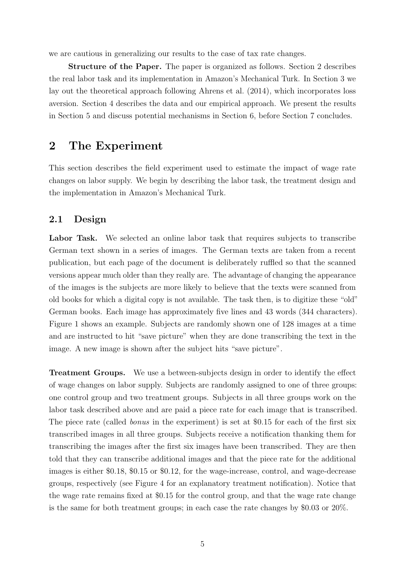we are cautious in generalizing our results to the case of tax rate changes.

Structure of the Paper. The paper is organized as follows. Section [2](#page-7-0) describes the real labor task and its implementation in Amazon's Mechanical Turk. In Section [3](#page-10-0) we lay out the theoretical approach following [Ahrens et al.](#page-23-0) [\(2014\)](#page-23-0), which incorporates loss aversion. Section [4](#page-12-0) describes the data and our empirical approach. We present the results in Section [5](#page-15-0) and discuss potential mechanisms in Section [6,](#page-18-0) before Section [7](#page-22-0) concludes.

### <span id="page-7-0"></span>2 The Experiment

This section describes the field experiment used to estimate the impact of wage rate changes on labor supply. We begin by describing the labor task, the treatment design and the implementation in Amazon's Mechanical Turk.

#### <span id="page-7-1"></span>2.1 Design

Labor Task. We selected an online labor task that requires subjects to transcribe German text shown in a series of images. The German texts are taken from a recent publication, but each page of the document is deliberately ruffled so that the scanned versions appear much older than they really are. The advantage of changing the appearance of the images is the subjects are more likely to believe that the texts were scanned from old books for which a digital copy is not available. The task then, is to digitize these "old" German books. Each image has approximately five lines and 43 words (344 characters). Figure [1](#page-26-0) shows an example. Subjects are randomly shown one of 128 images at a time and are instructed to hit "save picture" when they are done transcribing the text in the image. A new image is shown after the subject hits "save picture".

Treatment Groups. We use a between-subjects design in order to identify the effect of wage changes on labor supply. Subjects are randomly assigned to one of three groups: one control group and two treatment groups. Subjects in all three groups work on the labor task described above and are paid a piece rate for each image that is transcribed. The piece rate (called *bonus* in the experiment) is set at \$0.15 for each of the first six transcribed images in all three groups. Subjects receive a notification thanking them for transcribing the images after the first six images have been transcribed. They are then told that they can transcribe additional images and that the piece rate for the additional images is either \$0.18, \$0.15 or \$0.12, for the wage-increase, control, and wage-decrease groups, respectively (see Figure [4](#page-29-0) for an explanatory treatment notification). Notice that the wage rate remains fixed at \$0.15 for the control group, and that the wage rate change is the same for both treatment groups; in each case the rate changes by \$0.03 or 20%.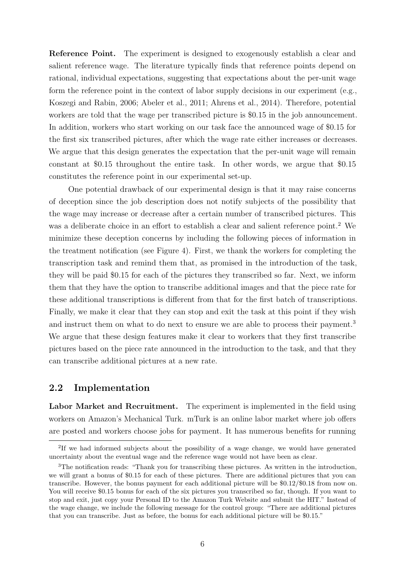Reference Point. The experiment is designed to exogenously establish a clear and salient reference wage. The literature typically finds that reference points depend on rational, individual expectations, suggesting that expectations about the per-unit wage form the reference point in the context of labor supply decisions in our experiment (e.g., [Koszegi and Rabin, 2006;](#page-24-6) [Abeler et al., 2011;](#page-23-9) [Ahrens et al., 2014\)](#page-23-0). Therefore, potential workers are told that the wage per transcribed picture is \$0.15 in the job announcement. In addition, workers who start working on our task face the announced wage of \$0.15 for the first six transcribed pictures, after which the wage rate either increases or decreases. We argue that this design generates the expectation that the per-unit wage will remain constant at \$0.15 throughout the entire task. In other words, we argue that \$0.15 constitutes the reference point in our experimental set-up.

One potential drawback of our experimental design is that it may raise concerns of deception since the job description does not notify subjects of the possibility that the wage may increase or decrease after a certain number of transcribed pictures. This was a deliberate choice in an effort to establish a clear and salient reference point.<sup>[2](#page-8-0)</sup> We minimize these deception concerns by including the following pieces of information in the treatment notification (see Figure [4\)](#page-29-0). First, we thank the workers for completing the transcription task and remind them that, as promised in the introduction of the task, they will be paid \$0.15 for each of the pictures they transcribed so far. Next, we inform them that they have the option to transcribe additional images and that the piece rate for these additional transcriptions is different from that for the first batch of transcriptions. Finally, we make it clear that they can stop and exit the task at this point if they wish and instruct them on what to do next to ensure we are able to process their payment.<sup>[3](#page-8-1)</sup> We argue that these design features make it clear to workers that they first transcribe pictures based on the piece rate announced in the introduction to the task, and that they can transcribe additional pictures at a new rate.

#### 2.2 Implementation

Labor Market and Recruitment. The experiment is implemented in the field using workers on Amazon's Mechanical Turk. mTurk is an online labor market where job offers are posted and workers choose jobs for payment. It has numerous benefits for running

<span id="page-8-0"></span><sup>&</sup>lt;sup>2</sup>If we had informed subjects about the possibility of a wage change, we would have generated uncertainty about the eventual wage and the reference wage would not have been as clear.

<span id="page-8-1"></span><sup>&</sup>lt;sup>3</sup>The notification reads: "Thank you for transcribing these pictures. As written in the introduction, we will grant a bonus of \$0.15 for each of these pictures. There are additional pictures that you can transcribe. However, the bonus payment for each additional picture will be \$0.12/\$0.18 from now on. You will receive \$0.15 bonus for each of the six pictures you transcribed so far, though. If you want to stop and exit, just copy your Personal ID to the Amazon Turk Website and submit the HIT." Instead of the wage change, we include the following message for the control group: "There are additional pictures that you can transcribe. Just as before, the bonus for each additional picture will be \$0.15."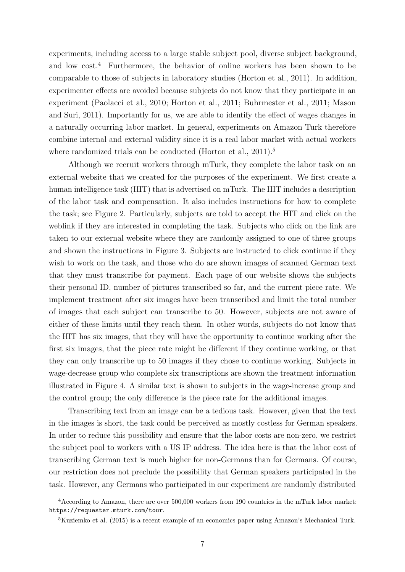experiments, including access to a large stable subject pool, diverse subject background, and low cost.[4](#page-9-0) Furthermore, the behavior of online workers has been shown to be comparable to those of subjects in laboratory studies [\(Horton et al., 2011\)](#page-24-10). In addition, experimenter effects are avoided because subjects do not know that they participate in an experiment [\(Paolacci et al., 2010;](#page-25-6) [Horton et al., 2011;](#page-24-10) [Buhrmester et al., 2011;](#page-23-11) [Mason](#page-25-7) [and Suri, 2011\)](#page-25-7). Importantly for us, we are able to identify the effect of wages changes in a naturally occurring labor market. In general, experiments on Amazon Turk therefore combine internal and external validity since it is a real labor market with actual workers where randomized trials can be conducted [\(Horton et al., 2011\)](#page-24-10).<sup>[5](#page-9-1)</sup>

Although we recruit workers through mTurk, they complete the labor task on an external website that we created for the purposes of the experiment. We first create a human intelligence task (HIT) that is advertised on mTurk. The HIT includes a description of the labor task and compensation. It also includes instructions for how to complete the task; see Figure [2.](#page-27-0) Particularly, subjects are told to accept the HIT and click on the weblink if they are interested in completing the task. Subjects who click on the link are taken to our external website where they are randomly assigned to one of three groups and shown the instructions in Figure [3.](#page-28-0) Subjects are instructed to click continue if they wish to work on the task, and those who do are shown images of scanned German text that they must transcribe for payment. Each page of our website shows the subjects their personal ID, number of pictures transcribed so far, and the current piece rate. We implement treatment after six images have been transcribed and limit the total number of images that each subject can transcribe to 50. However, subjects are not aware of either of these limits until they reach them. In other words, subjects do not know that the HIT has six images, that they will have the opportunity to continue working after the first six images, that the piece rate might be different if they continue working, or that they can only transcribe up to 50 images if they chose to continue working. Subjects in wage-decrease group who complete six transcriptions are shown the treatment information illustrated in Figure [4.](#page-29-0) A similar text is shown to subjects in the wage-increase group and the control group; the only difference is the piece rate for the additional images.

Transcribing text from an image can be a tedious task. However, given that the text in the images is short, the task could be perceived as mostly costless for German speakers. In order to reduce this possibility and ensure that the labor costs are non-zero, we restrict the subject pool to workers with a US IP address. The idea here is that the labor cost of transcribing German text is much higher for non-Germans than for Germans. Of course, our restriction does not preclude the possibility that German speakers participated in the task. However, any Germans who participated in our experiment are randomly distributed

<span id="page-9-0"></span><sup>4</sup>According to Amazon, there are over 500,000 workers from 190 countries in the mTurk labor market: <https://requester.mturk.com/tour>.

<span id="page-9-1"></span><sup>5</sup>[Kuziemko et al.](#page-24-11) [\(2015\)](#page-24-11) is a recent example of an economics paper using Amazon's Mechanical Turk.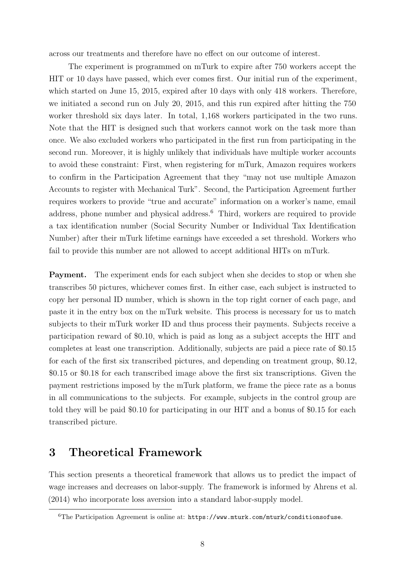across our treatments and therefore have no effect on our outcome of interest.

The experiment is programmed on mTurk to expire after 750 workers accept the HIT or 10 days have passed, which ever comes first. Our initial run of the experiment, which started on June 15, 2015, expired after 10 days with only 418 workers. Therefore, we initiated a second run on July 20, 2015, and this run expired after hitting the 750 worker threshold six days later. In total, 1,168 workers participated in the two runs. Note that the HIT is designed such that workers cannot work on the task more than once. We also excluded workers who participated in the first run from participating in the second run. Moreover, it is highly unlikely that individuals have multiple worker accounts to avoid these constraint: First, when registering for mTurk, Amazon requires workers to confirm in the Participation Agreement that they "may not use multiple Amazon Accounts to register with Mechanical Turk". Second, the Participation Agreement further requires workers to provide "true and accurate" information on a worker's name, email address, phone number and physical address.<sup>[6](#page-10-1)</sup> Third, workers are required to provide a tax identification number (Social Security Number or Individual Tax Identification Number) after their mTurk lifetime earnings have exceeded a set threshold. Workers who fail to provide this number are not allowed to accept additional HITs on mTurk.

Payment. The experiment ends for each subject when she decides to stop or when she transcribes 50 pictures, whichever comes first. In either case, each subject is instructed to copy her personal ID number, which is shown in the top right corner of each page, and paste it in the entry box on the mTurk website. This process is necessary for us to match subjects to their mTurk worker ID and thus process their payments. Subjects receive a participation reward of \$0.10, which is paid as long as a subject accepts the HIT and completes at least one transcription. Additionally, subjects are paid a piece rate of \$0.15 for each of the first six transcribed pictures, and depending on treatment group, \$0.12, \$0.15 or \$0.18 for each transcribed image above the first six transcriptions. Given the payment restrictions imposed by the mTurk platform, we frame the piece rate as a bonus in all communications to the subjects. For example, subjects in the control group are told they will be paid \$0.10 for participating in our HIT and a bonus of \$0.15 for each transcribed picture.

### <span id="page-10-0"></span>3 Theoretical Framework

This section presents a theoretical framework that allows us to predict the impact of wage increases and decreases on labor-supply. The framework is informed by [Ahrens et al.](#page-23-0) [\(2014\)](#page-23-0) who incorporate loss aversion into a standard labor-supply model.

<span id="page-10-1"></span> ${}^{6}$ The Participation Agreement is online at: <https://www.mturk.com/mturk/conditionsofuse>.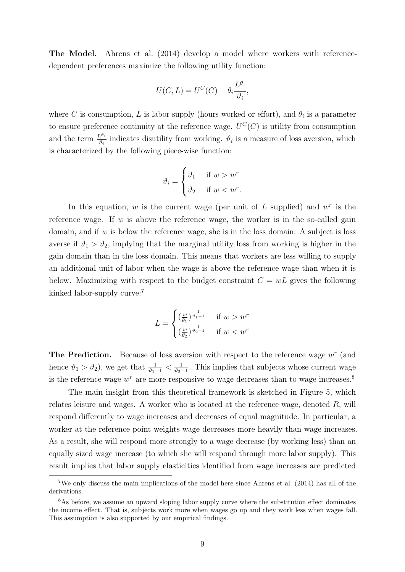The Model. [Ahrens et al.](#page-23-0) [\(2014\)](#page-23-0) develop a model where workers with referencedependent preferences maximize the following utility function:

$$
U(C, L) = U^C(C) - \theta_i \frac{L^{\vartheta_i}}{\vartheta_i},
$$

where C is consumption, L is labor supply (hours worked or effort), and  $\theta_i$  is a parameter to ensure preference continuity at the reference wage.  $U^{C}(C)$  is utility from consumption and the term  $\frac{L^{\vartheta_i}}{\vartheta_i}$  indicates disutility from working.  $\vartheta_i$  is a measure of loss aversion, which is characterized by the following piece-wise function:

$$
\vartheta_i = \begin{cases} \vartheta_1 & \text{if } w > w^r \\ \vartheta_2 & \text{if } w < w^r. \end{cases}
$$

In this equation,  $w$  is the current wage (per unit of  $L$  supplied) and  $w<sup>r</sup>$  is the reference wage. If  $w$  is above the reference wage, the worker is in the so-called gain domain, and if  $w$  is below the reference wage, she is in the loss domain. A subject is loss averse if  $\vartheta_1 > \vartheta_2$ , implying that the marginal utility loss from working is higher in the gain domain than in the loss domain. This means that workers are less willing to supply an additional unit of labor when the wage is above the reference wage than when it is below. Maximizing with respect to the budget constraint  $C = wL$  gives the following kinked labor-supply curve:<sup>[7](#page-11-0)</sup>

$$
L = \begin{cases} \left(\frac{w}{\theta_1}\right)^{\frac{1}{\theta_1 - 1}} & \text{if } w > w^r\\ \left(\frac{w}{\theta_2}\right)^{\frac{1}{\theta_2 - 1}} & \text{if } w < w^r \end{cases}
$$

**The Prediction.** Because of loss aversion with respect to the reference wage  $w^r$  (and hence  $\vartheta_1 > \vartheta_2$ , we get that  $\frac{1}{\vartheta_1 - 1} < \frac{1}{\vartheta_2 - 1}$  $\frac{1}{\vartheta_2-1}$ . This implies that subjects whose current wage is the reference wage  $w^r$  are more responsive to wage decreases than to wage increases.<sup>[8](#page-11-1)</sup>

The main insight from this theoretical framework is sketched in Figure [5,](#page-30-0) which relates leisure and wages. A worker who is located at the reference wage, denoted  $R$ , will respond differently to wage increases and decreases of equal magnitude. In particular, a worker at the reference point weights wage decreases more heavily than wage increases. As a result, she will respond more strongly to a wage decrease (by working less) than an equally sized wage increase (to which she will respond through more labor supply). This result implies that labor supply elasticities identified from wage increases are predicted

<span id="page-11-0"></span><sup>7</sup>We only discuss the main implications of the model here since [Ahrens et al.](#page-23-0) [\(2014\)](#page-23-0) has all of the derivations.

<span id="page-11-1"></span><sup>&</sup>lt;sup>8</sup>As before, we assume an upward sloping labor supply curve where the substitution effect dominates the income effect. That is, subjects work more when wages go up and they work less when wages fall. This assumption is also supported by our empirical findings.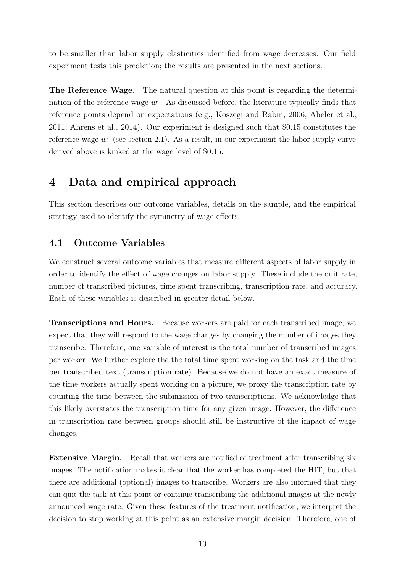to be smaller than labor supply elasticities identified from wage decreases. Our field experiment tests this prediction; the results are presented in the next sections.

The Reference Wage. The natural question at this point is regarding the determination of the reference wage  $w^r$ . As discussed before, the literature typically finds that reference points depend on expectations (e.g., [Koszegi and Rabin, 2006;](#page-24-6) [Abeler et al.,](#page-23-9) [2011;](#page-23-9) [Ahrens et al., 2014\)](#page-23-0). Our experiment is designed such that \$0.15 constitutes the reference wage  $w^r$  (see section [2.1\)](#page-7-1). As a result, in our experiment the labor supply curve derived above is kinked at the wage level of \$0.15.

### <span id="page-12-0"></span>4 Data and empirical approach

This section describes our outcome variables, details on the sample, and the empirical strategy used to identify the symmetry of wage effects.

#### <span id="page-12-1"></span>4.1 Outcome Variables

We construct several outcome variables that measure different aspects of labor supply in order to identify the effect of wage changes on labor supply. These include the quit rate, number of transcribed pictures, time spent transcribing, transcription rate, and accuracy. Each of these variables is described in greater detail below.

Transcriptions and Hours. Because workers are paid for each transcribed image, we expect that they will respond to the wage changes by changing the number of images they transcribe. Therefore, one variable of interest is the total number of transcribed images per worker. We further explore the the total time spent working on the task and the time per transcribed text (transcription rate). Because we do not have an exact measure of the time workers actually spent working on a picture, we proxy the transcription rate by counting the time between the submission of two transcriptions. We acknowledge that this likely overstates the transcription time for any given image. However, the difference in transcription rate between groups should still be instructive of the impact of wage changes.

Extensive Margin. Recall that workers are notified of treatment after transcribing six images. The notification makes it clear that the worker has completed the HIT, but that there are additional (optional) images to transcribe. Workers are also informed that they can quit the task at this point or continue transcribing the additional images at the newly announced wage rate. Given these features of the treatment notification, we interpret the decision to stop working at this point as an extensive margin decision. Therefore, one of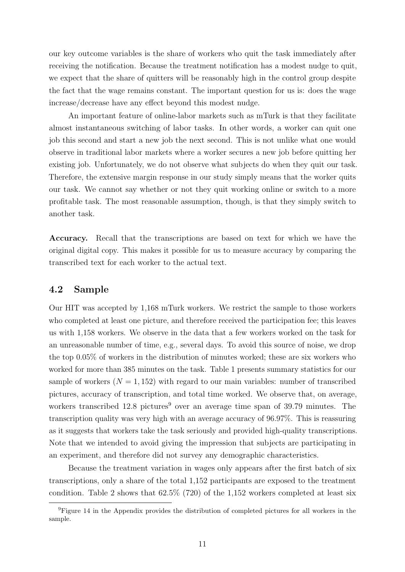our key outcome variables is the share of workers who quit the task immediately after receiving the notification. Because the treatment notification has a modest nudge to quit, we expect that the share of quitters will be reasonably high in the control group despite the fact that the wage remains constant. The important question for us is: does the wage increase/decrease have any effect beyond this modest nudge.

An important feature of online-labor markets such as mTurk is that they facilitate almost instantaneous switching of labor tasks. In other words, a worker can quit one job this second and start a new job the next second. This is not unlike what one would observe in traditional labor markets where a worker secures a new job before quitting her existing job. Unfortunately, we do not observe what subjects do when they quit our task. Therefore, the extensive margin response in our study simply means that the worker quits our task. We cannot say whether or not they quit working online or switch to a more profitable task. The most reasonable assumption, though, is that they simply switch to another task.

Accuracy. Recall that the transcriptions are based on text for which we have the original digital copy. This makes it possible for us to measure accuracy by comparing the transcribed text for each worker to the actual text.

#### <span id="page-13-1"></span>4.2 Sample

Our HIT was accepted by 1,168 mTurk workers. We restrict the sample to those workers who completed at least one picture, and therefore received the participation fee; this leaves us with 1,158 workers. We observe in the data that a few workers worked on the task for an unreasonable number of time, e.g., several days. To avoid this source of noise, we drop the top 0.05% of workers in the distribution of minutes worked; these are six workers who worked for more than 385 minutes on the task. Table [1](#page-39-0) presents summary statistics for our sample of workers  $(N = 1, 152)$  with regard to our main variables: number of transcribed pictures, accuracy of transcription, and total time worked. We observe that, on average, workers transcribed  $12.8$  pictures<sup>[9](#page-13-0)</sup> over an average time span of 39.79 minutes. The transcription quality was very high with an average accuracy of 96.97%. This is reassuring as it suggests that workers take the task seriously and provided high-quality transcriptions. Note that we intended to avoid giving the impression that subjects are participating in an experiment, and therefore did not survey any demographic characteristics.

Because the treatment variation in wages only appears after the first batch of six transcriptions, only a share of the total 1,152 participants are exposed to the treatment condition. Table [2](#page-39-1) shows that  $62.5\%$  (720) of the 1,152 workers completed at least six

<span id="page-13-0"></span><sup>&</sup>lt;sup>9</sup>Figure [14](#page-41-0) in the Appendix provides the distribution of completed pictures for all workers in the sample.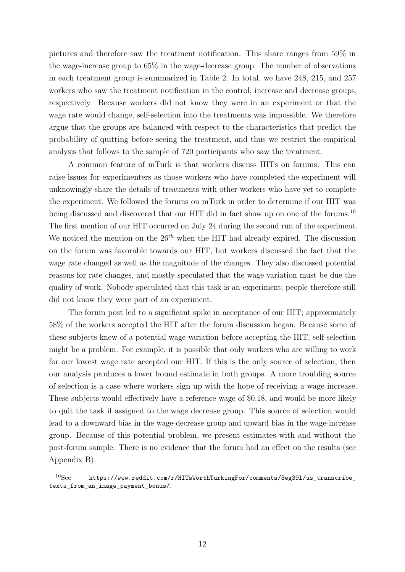pictures and therefore saw the treatment notification. This share ranges from 59% in the wage-increase group to 65% in the wage-decrease group. The number of observations in each treatment group is summarized in Table [2.](#page-39-1) In total, we have 248, 215, and 257 workers who saw the treatment notification in the control, increase and decrease groups, respectively. Because workers did not know they were in an experiment or that the wage rate would change, self-selection into the treatments was impossible. We therefore argue that the groups are balanced with respect to the characteristics that predict the probability of quitting before seeing the treatment, and thus we restrict the empirical analysis that follows to the sample of 720 participants who saw the treatment.

A common feature of mTurk is that workers discuss HITs on forums. This can raise issues for experimenters as those workers who have completed the experiment will unknowingly share the details of treatments with other workers who have yet to complete the experiment. We followed the forums on mTurk in order to determine if our HIT was being discussed and discovered that our HIT did in fact show up on one of the forums.<sup>[10](#page-14-0)</sup> The first mention of our HIT occurred on July 24 during the second run of the experiment. We noticed the mention on the  $26<sup>th</sup>$  when the HIT had already expired. The discussion on the forum was favorable towards our HIT, but workers discussed the fact that the wage rate changed as well as the magnitude of the changes. They also discussed potential reasons for rate changes, and mostly speculated that the wage variation must be due the quality of work. Nobody speculated that this task is an experiment; people therefore still did not know they were part of an experiment.

The forum post led to a significant spike in acceptance of our HIT; approximately 58% of the workers accepted the HIT after the forum discussion began. Because some of these subjects knew of a potential wage variation before accepting the HIT, self-selection might be a problem. For example, it is possible that only workers who are willing to work for our lowest wage rate accepted our HIT. If this is the only source of selection, then our analysis produces a lower bound estimate in both groups. A more troubling source of selection is a case where workers sign up with the hope of receiving a wage increase. These subjects would effectively have a reference wage of \$0.18, and would be more likely to quit the task if assigned to the wage decrease group. This source of selection would lead to a downward bias in the wage-decrease group and upward bias in the wage-increase group. Because of this potential problem, we present estimates with and without the post-forum sample. There is no evidence that the forum had an effect on the results (see Appendix [B\)](#page-42-0).

<span id="page-14-0"></span> $10$ See https://www.reddit.com/r/HITsWorthTurkingFor/comments/3eg391/us\_transcribe\_ [texts\\_from\\_an\\_image\\_payment\\_bonus/](https://www.reddit.com/r/HITsWorthTurkingFor/comments/3eg39l/us_transcribe_texts_from_an_image_payment_bonus/).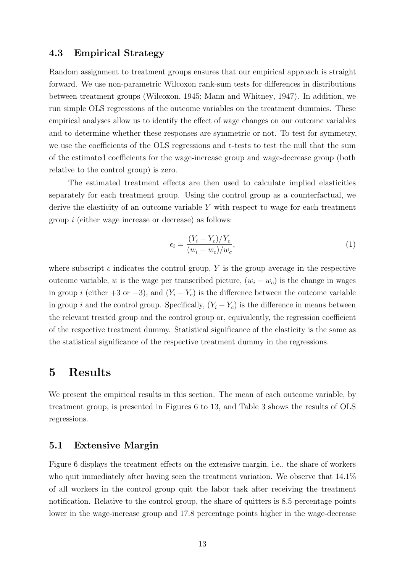#### <span id="page-15-2"></span>4.3 Empirical Strategy

Random assignment to treatment groups ensures that our empirical approach is straight forward. We use non-parametric Wilcoxon rank-sum tests for differences in distributions between treatment groups [\(Wilcoxon, 1945;](#page-25-8) [Mann and Whitney, 1947\)](#page-24-12). In addition, we run simple OLS regressions of the outcome variables on the treatment dummies. These empirical analyses allow us to identify the effect of wage changes on our outcome variables and to determine whether these responses are symmetric or not. To test for symmetry, we use the coefficients of the OLS regressions and t-tests to test the null that the sum of the estimated coefficients for the wage-increase group and wage-decrease group (both relative to the control group) is zero.

The estimated treatment effects are then used to calculate implied elasticities separately for each treatment group. Using the control group as a counterfactual, we derive the elasticity of an outcome variable Y with respect to wage for each treatment group i (either wage increase or decrease) as follows:

<span id="page-15-1"></span>
$$
\epsilon_i = \frac{(Y_i - Y_c)/Y_c}{(w_i - w_c)/w_c},\tag{1}
$$

where subscript c indicates the control group,  $Y$  is the group average in the respective outcome variable, w is the wage per transcribed picture,  $(w_i - w_c)$  is the change in wages in group i (either +3 or -3), and  $(Y_i - Y_c)$  is the difference between the outcome variable in group i and the control group. Specifically,  $(Y_i - Y_c)$  is the difference in means between the relevant treated group and the control group or, equivalently, the regression coefficient of the respective treatment dummy. Statistical significance of the elasticity is the same as the statistical significance of the respective treatment dummy in the regressions.

### <span id="page-15-0"></span>5 Results

We present the empirical results in this section. The mean of each outcome variable, by treatment group, is presented in Figures [6](#page-31-0) to [13,](#page-38-0) and Table [3](#page-40-0) shows the results of OLS regressions.

#### 5.1 Extensive Margin

Figure [6](#page-31-0) displays the treatment effects on the extensive margin, i.e., the share of workers who quit immediately after having seen the treatment variation. We observe that  $14.1\%$ of all workers in the control group quit the labor task after receiving the treatment notification. Relative to the control group, the share of quitters is 8.5 percentage points lower in the wage-increase group and 17.8 percentage points higher in the wage-decrease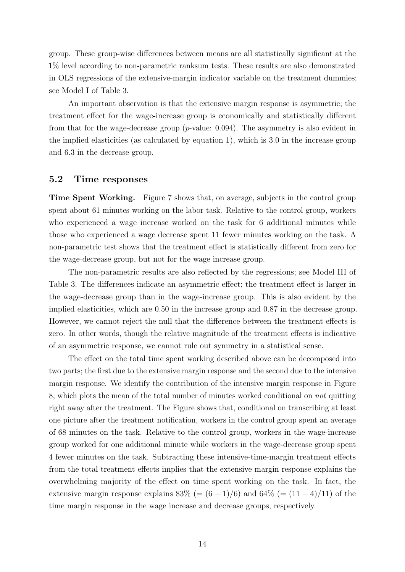group. These group-wise differences between means are all statistically significant at the 1% level according to non-parametric ranksum tests. These results are also demonstrated in OLS regressions of the extensive-margin indicator variable on the treatment dummies; see Model I of Table [3.](#page-40-0)

An important observation is that the extensive margin response is asymmetric; the treatment effect for the wage-increase group is economically and statistically different from that for the wage-decrease group  $(p$ -value: 0.094). The asymmetry is also evident in the implied elasticities (as calculated by equation [1\)](#page-15-1), which is 3.0 in the increase group and 6.3 in the decrease group.

#### <span id="page-16-0"></span>5.2 Time responses

Time Spent Working. Figure [7](#page-32-0) shows that, on average, subjects in the control group spent about 61 minutes working on the labor task. Relative to the control group, workers who experienced a wage increase worked on the task for 6 additional minutes while those who experienced a wage decrease spent 11 fewer minutes working on the task. A non-parametric test shows that the treatment effect is statistically different from zero for the wage-decrease group, but not for the wage increase group.

The non-parametric results are also reflected by the regressions; see Model III of Table [3.](#page-40-0) The differences indicate an asymmetric effect; the treatment effect is larger in the wage-decrease group than in the wage-increase group. This is also evident by the implied elasticities, which are 0.50 in the increase group and 0.87 in the decrease group. However, we cannot reject the null that the difference between the treatment effects is zero. In other words, though the relative magnitude of the treatment effects is indicative of an asymmetric response, we cannot rule out symmetry in a statistical sense.

The effect on the total time spent working described above can be decomposed into two parts; the first due to the extensive margin response and the second due to the intensive margin response. We identify the contribution of the intensive margin response in Figure [8,](#page-33-0) which plots the mean of the total number of minutes worked conditional on not quitting right away after the treatment. The Figure shows that, conditional on transcribing at least one picture after the treatment notification, workers in the control group spent an average of 68 minutes on the task. Relative to the control group, workers in the wage-increase group worked for one additional minute while workers in the wage-decrease group spent 4 fewer minutes on the task. Subtracting these intensive-time-margin treatment effects from the total treatment effects implies that the extensive margin response explains the overwhelming majority of the effect on time spent working on the task. In fact, the extensive margin response explains 83% (=  $(6-1)/6$ ) and 64% (=  $(11-4)/11$ ) of the time margin response in the wage increase and decrease groups, respectively.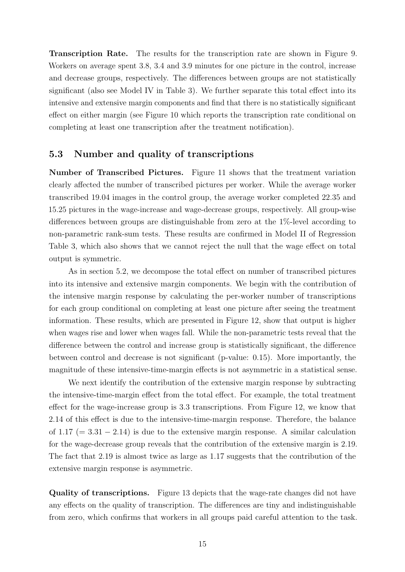Transcription Rate. The results for the transcription rate are shown in Figure [9.](#page-34-0) Workers on average spent 3.8, 3.4 and 3.9 minutes for one picture in the control, increase and decrease groups, respectively. The differences between groups are not statistically significant (also see Model IV in Table [3\)](#page-40-0). We further separate this total effect into its intensive and extensive margin components and find that there is no statistically significant effect on either margin (see Figure [10](#page-35-0) which reports the transcription rate conditional on completing at least one transcription after the treatment notification).

#### <span id="page-17-0"></span>5.3 Number and quality of transcriptions

Number of Transcribed Pictures. Figure [11](#page-36-0) shows that the treatment variation clearly affected the number of transcribed pictures per worker. While the average worker transcribed 19.04 images in the control group, the average worker completed 22.35 and 15.25 pictures in the wage-increase and wage-decrease groups, respectively. All group-wise differences between groups are distinguishable from zero at the 1%-level according to non-parametric rank-sum tests. These results are confirmed in Model II of Regression Table [3,](#page-40-0) which also shows that we cannot reject the null that the wage effect on total output is symmetric.

As in section [5.2,](#page-16-0) we decompose the total effect on number of transcribed pictures into its intensive and extensive margin components. We begin with the contribution of the intensive margin response by calculating the per-worker number of transcriptions for each group conditional on completing at least one picture after seeing the treatment information. These results, which are presented in Figure [12,](#page-37-0) show that output is higher when wages rise and lower when wages fall. While the non-parametric tests reveal that the difference between the control and increase group is statistically significant, the difference between control and decrease is not significant (p-value: 0.15). More importantly, the magnitude of these intensive-time-margin effects is not asymmetric in a statistical sense.

We next identify the contribution of the extensive margin response by subtracting the intensive-time-margin effect from the total effect. For example, the total treatment effect for the wage-increase group is 3.3 transcriptions. From Figure [12,](#page-37-0) we know that 2.14 of this effect is due to the intensive-time-margin response. Therefore, the balance of  $1.17 (= 3.31 - 2.14)$  is due to the extensive margin response. A similar calculation for the wage-decrease group reveals that the contribution of the extensive margin is 2.19. The fact that 2.19 is almost twice as large as 1.17 suggests that the contribution of the extensive margin response is asymmetric.

Quality of transcriptions. Figure [13](#page-38-0) depicts that the wage-rate changes did not have any effects on the quality of transcription. The differences are tiny and indistinguishable from zero, which confirms that workers in all groups paid careful attention to the task.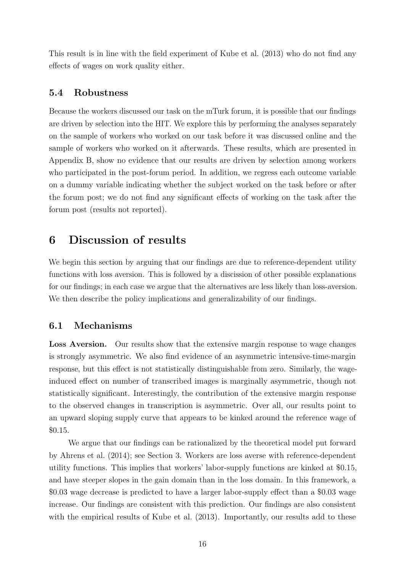This result is in line with the field experiment of [Kube et al.](#page-24-3) [\(2013\)](#page-24-3) who do not find any effects of wages on work quality either.

#### 5.4 Robustness

Because the workers discussed our task on the mTurk forum, it is possible that our findings are driven by selection into the HIT. We explore this by performing the analyses separately on the sample of workers who worked on our task before it was discussed online and the sample of workers who worked on it afterwards. These results, which are presented in Appendix [B,](#page-42-0) show no evidence that our results are driven by selection among workers who participated in the post-forum period. In addition, we regress each outcome variable on a dummy variable indicating whether the subject worked on the task before or after the forum post; we do not find any significant effects of working on the task after the forum post (results not reported).

### <span id="page-18-0"></span>6 Discussion of results

We begin this section by arguing that our findings are due to reference-dependent utility functions with loss aversion. This is followed by a discission of other possible explanations for our findings; in each case we argue that the alternatives are less likely than loss-aversion. We then describe the policy implications and generalizability of our findings.

#### 6.1 Mechanisms

Loss Aversion. Our results show that the extensive margin response to wage changes is strongly asymmetric. We also find evidence of an asymmetric intensive-time-margin response, but this effect is not statistically distinguishable from zero. Similarly, the wageinduced effect on number of transcribed images is marginally asymmetric, though not statistically significant. Interestingly, the contribution of the extensive margin response to the observed changes in transcription is asymmetric. Over all, our results point to an upward sloping supply curve that appears to be kinked around the reference wage of \$0.15.

We argue that our findings can be rationalized by the theoretical model put forward by [Ahrens et al.](#page-23-0) [\(2014\)](#page-23-0); see Section [3.](#page-10-0) Workers are loss averse with reference-dependent utility functions. This implies that workers' labor-supply functions are kinked at \$0.15, and have steeper slopes in the gain domain than in the loss domain. In this framework, a \$0.03 wage decrease is predicted to have a larger labor-supply effect than a \$0.03 wage increase. Our findings are consistent with this prediction. Our findings are also consistent with the empirical results of [Kube et al.](#page-24-3)  $(2013)$ . Importantly, our results add to these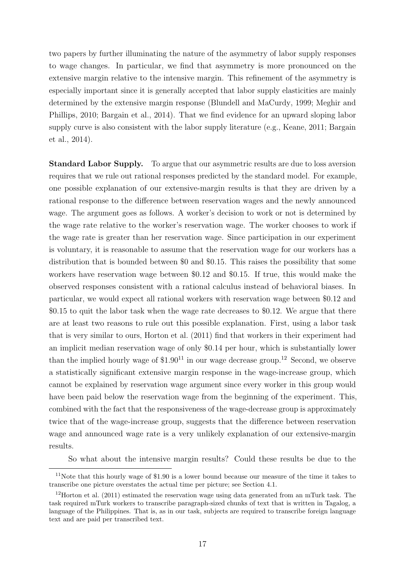two papers by further illuminating the nature of the asymmetry of labor supply responses to wage changes. In particular, we find that asymmetry is more pronounced on the extensive margin relative to the intensive margin. This refinement of the asymmetry is especially important since it is generally accepted that labor supply elasticities are mainly determined by the extensive margin response [\(Blundell and MaCurdy, 1999;](#page-23-3) [Meghir and](#page-25-1) [Phillips, 2010;](#page-25-1) [Bargain et al., 2014\)](#page-23-4). That we find evidence for an upward sloping labor supply curve is also consistent with the labor supply literature (e.g., [Keane, 2011;](#page-24-1) [Bargain](#page-23-4) [et al., 2014\)](#page-23-4).

Standard Labor Supply. To argue that our asymmetric results are due to loss aversion requires that we rule out rational responses predicted by the standard model. For example, one possible explanation of our extensive-margin results is that they are driven by a rational response to the difference between reservation wages and the newly announced wage. The argument goes as follows. A worker's decision to work or not is determined by the wage rate relative to the worker's reservation wage. The worker chooses to work if the wage rate is greater than her reservation wage. Since participation in our experiment is voluntary, it is reasonable to assume that the reservation wage for our workers has a distribution that is bounded between \$0 and \$0.15. This raises the possibility that some workers have reservation wage between \$0.12 and \$0.15. If true, this would make the observed responses consistent with a rational calculus instead of behavioral biases. In particular, we would expect all rational workers with reservation wage between \$0.12 and \$0.15 to quit the labor task when the wage rate decreases to \$0.12. We argue that there are at least two reasons to rule out this possible explanation. First, using a labor task that is very similar to ours, [Horton et al.](#page-24-10) [\(2011\)](#page-24-10) find that workers in their experiment had an implicit median reservation wage of only \$0.14 per hour, which is substantially lower than the implied hourly wage of  $$1.90^{11}$  $$1.90^{11}$  $$1.90^{11}$  in our wage decrease group.<sup>[12](#page-19-1)</sup> Second, we observe a statistically significant extensive margin response in the wage-increase group, which cannot be explained by reservation wage argument since every worker in this group would have been paid below the reservation wage from the beginning of the experiment. This, combined with the fact that the responsiveness of the wage-decrease group is approximately twice that of the wage-increase group, suggests that the difference between reservation wage and announced wage rate is a very unlikely explanation of our extensive-margin results.

So what about the intensive margin results? Could these results be due to the

<span id="page-19-0"></span><sup>&</sup>lt;sup>11</sup>Note that this hourly wage of \$1.90 is a lower bound because our measure of the time it takes to transcribe one picture overstates the actual time per picture; see Section [4.1.](#page-12-1)

<span id="page-19-1"></span><sup>&</sup>lt;sup>12</sup>[Horton et al.](#page-24-10) [\(2011\)](#page-24-10) estimated the reservation wage using data generated from an mTurk task. The task required mTurk workers to transcribe paragraph-sized chunks of text that is written in Tagalog, a language of the Philippines. That is, as in our task, subjects are required to transcribe foreign language text and are paid per transcribed text.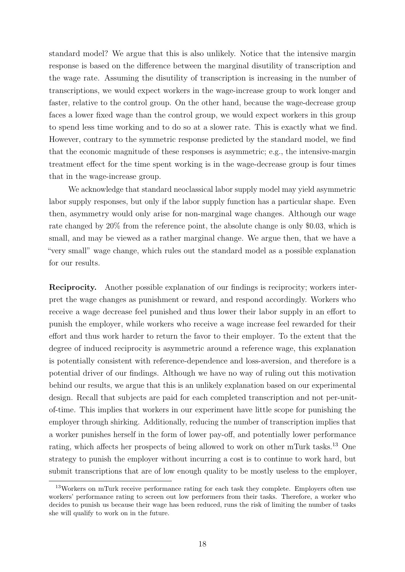standard model? We argue that this is also unlikely. Notice that the intensive margin response is based on the difference between the marginal disutility of transcription and the wage rate. Assuming the disutility of transcription is increasing in the number of transcriptions, we would expect workers in the wage-increase group to work longer and faster, relative to the control group. On the other hand, because the wage-decrease group faces a lower fixed wage than the control group, we would expect workers in this group to spend less time working and to do so at a slower rate. This is exactly what we find. However, contrary to the symmetric response predicted by the standard model, we find that the economic magnitude of these responses is asymmetric; e.g., the intensive-margin treatment effect for the time spent working is in the wage-decrease group is four times that in the wage-increase group.

We acknowledge that standard neoclassical labor supply model may yield asymmetric labor supply responses, but only if the labor supply function has a particular shape. Even then, asymmetry would only arise for non-marginal wage changes. Although our wage rate changed by 20% from the reference point, the absolute change is only \$0.03, which is small, and may be viewed as a rather marginal change. We argue then, that we have a "very small" wage change, which rules out the standard model as a possible explanation for our results.

Reciprocity. Another possible explanation of our findings is reciprocity; workers interpret the wage changes as punishment or reward, and respond accordingly. Workers who receive a wage decrease feel punished and thus lower their labor supply in an effort to punish the employer, while workers who receive a wage increase feel rewarded for their effort and thus work harder to return the favor to their employer. To the extent that the degree of induced reciprocity is asymmetric around a reference wage, this explanation is potentially consistent with reference-dependence and loss-aversion, and therefore is a potential driver of our findings. Although we have no way of ruling out this motivation behind our results, we argue that this is an unlikely explanation based on our experimental design. Recall that subjects are paid for each completed transcription and not per-unitof-time. This implies that workers in our experiment have little scope for punishing the employer through shirking. Additionally, reducing the number of transcription implies that a worker punishes herself in the form of lower pay-off, and potentially lower performance rating, which affects her prospects of being allowed to work on other mTurk tasks.[13](#page-20-0) One strategy to punish the employer without incurring a cost is to continue to work hard, but submit transcriptions that are of low enough quality to be mostly useless to the employer,

<span id="page-20-0"></span><sup>&</sup>lt;sup>13</sup>Workers on mTurk receive performance rating for each task they complete. Employers often use workers' performance rating to screen out low performers from their tasks. Therefore, a worker who decides to punish us because their wage has been reduced, runs the risk of limiting the number of tasks she will qualify to work on in the future.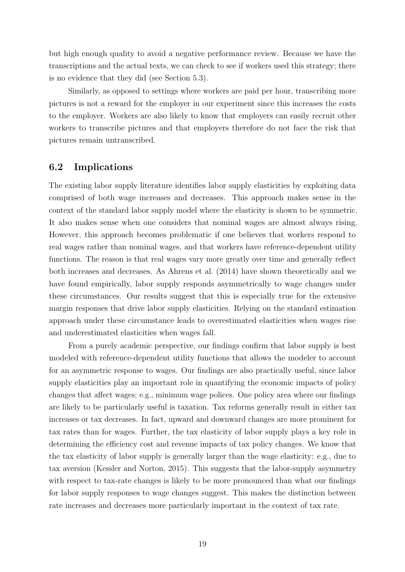but high enough quality to avoid a negative performance review. Because we have the transcriptions and the actual texts, we can check to see if workers used this strategy; there is no evidence that they did (see Section [5.3\)](#page-17-0).

Similarly, as opposed to settings where workers are paid per hour, transcribing more pictures is not a reward for the employer in our experiment since this increases the costs to the employer. Workers are also likely to know that employers can easily recruit other workers to transcribe pictures and that employers therefore do not face the risk that pictures remain untranscribed.

#### 6.2 Implications

The existing labor supply literature identifies labor supply elasticities by exploiting data comprised of both wage increases and decreases. This approach makes sense in the context of the standard labor supply model where the elasticity is shown to be symmetric. It also makes sense when one considers that nominal wages are almost always rising. However, this approach becomes problematic if one believes that workers respond to real wages rather than nominal wages, and that workers have reference-dependent utility functions. The reason is that real wages vary more greatly over time and generally reflect both increases and decreases. As [Ahrens et al.](#page-23-0) [\(2014\)](#page-23-0) have shown theoretically and we have found empirically, labor supply responds asymmetrically to wage changes under these circumstances. Our results suggest that this is especially true for the extensive margin responses that drive labor supply elasticities. Relying on the standard estimation approach under these circumstance leads to overestimated elasticities when wages rise and underestimated elasticities when wages fall.

From a purely academic perspective, our findings confirm that labor supply is best modeled with reference-dependent utility functions that allows the modeler to account for an asymmetric response to wages. Our findings are also practically useful, since labor supply elasticities play an important role in quantifying the economic impacts of policy changes that affect wages; e.g., minimum wage polices. One policy area where our findings are likely to be particularly useful is taxation. Tax reforms generally result in either tax increases or tax decreases. In fact, upward and downward changes are more prominent for tax rates than for wages. Further, the tax elasticity of labor supply plays a key role in determining the efficiency cost and revenue impacts of tax policy changes. We know that the tax elasticity of labor supply is generally larger than the wage elasticity: e.g., due to tax aversion [\(Kessler and Norton, 2015\)](#page-24-13). This suggests that the labor-supply asymmetry with respect to tax-rate changes is likely to be more pronounced than what our findings for labor supply responses to wage changes suggest. This makes the distinction between rate increases and decreases more particularly important in the context of tax rate.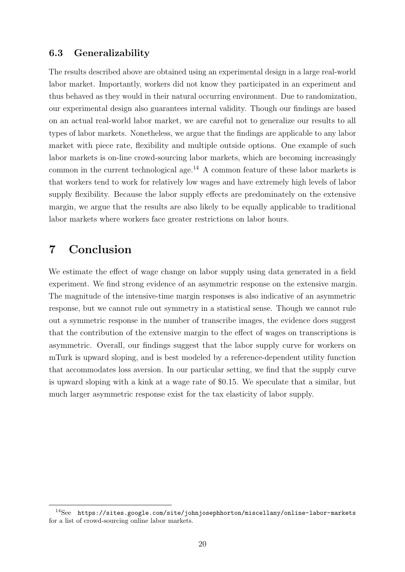#### 6.3 Generalizability

The results described above are obtained using an experimental design in a large real-world labor market. Importantly, workers did not know they participated in an experiment and thus behaved as they would in their natural occurring environment. Due to randomization, our experimental design also guarantees internal validity. Though our findings are based on an actual real-world labor market, we are careful not to generalize our results to all types of labor markets. Nonetheless, we argue that the findings are applicable to any labor market with piece rate, flexibility and multiple outside options. One example of such labor markets is on-line crowd-sourcing labor markets, which are becoming increasingly common in the current technological age.<sup>[14](#page-22-1)</sup> A common feature of these labor markets is that workers tend to work for relatively low wages and have extremely high levels of labor supply flexibility. Because the labor supply effects are predominately on the extensive margin, we argue that the results are also likely to be equally applicable to traditional labor markets where workers face greater restrictions on labor hours.

### <span id="page-22-0"></span>7 Conclusion

We estimate the effect of wage change on labor supply using data generated in a field experiment. We find strong evidence of an asymmetric response on the extensive margin. The magnitude of the intensive-time margin responses is also indicative of an asymmetric response, but we cannot rule out symmetry in a statistical sense. Though we cannot rule out a symmetric response in the number of transcribe images, the evidence does suggest that the contribution of the extensive margin to the effect of wages on transcriptions is asymmetric. Overall, our findings suggest that the labor supply curve for workers on mTurk is upward sloping, and is best modeled by a reference-dependent utility function that accommodates loss aversion. In our particular setting, we find that the supply curve is upward sloping with a kink at a wage rate of \$0.15. We speculate that a similar, but much larger asymmetric response exist for the tax elasticity of labor supply.

<span id="page-22-1"></span><sup>14</sup>See <https://sites.google.com/site/johnjosephhorton/miscellany/online-labor-markets> for a list of crowd-sourcing online labor markets.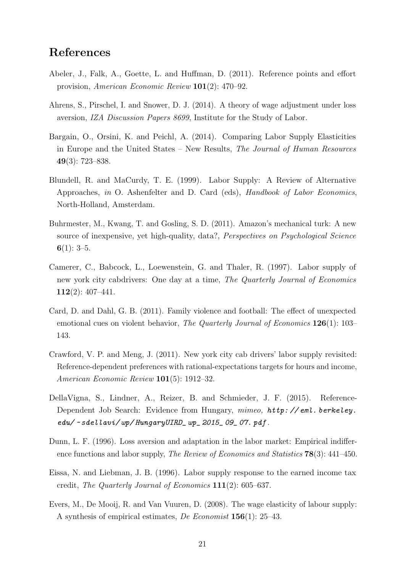### References

- <span id="page-23-9"></span>Abeler, J., Falk, A., Goette, L. and Huffman, D. (2011). Reference points and effort provision, American Economic Review 101(2): 470–92.
- <span id="page-23-0"></span>Ahrens, S., Pirschel, I. and Snower, D. J. (2014). A theory of wage adjustment under loss aversion, IZA Discussion Papers 8699, Institute for the Study of Labor.
- <span id="page-23-4"></span>Bargain, O., Orsini, K. and Peichl, A. (2014). Comparing Labor Supply Elasticities in Europe and the United States – New Results, The Journal of Human Resources 49(3): 723–838.
- <span id="page-23-3"></span>Blundell, R. and MaCurdy, T. E. (1999). Labor Supply: A Review of Alternative Approaches, in O. Ashenfelter and D. Card (eds), Handbook of Labor Economics, North-Holland, Amsterdam.
- <span id="page-23-11"></span>Buhrmester, M., Kwang, T. and Gosling, S. D. (2011). Amazon's mechanical turk: A new source of inexpensive, yet high-quality, data?, Perspectives on Psychological Science  $6(1): 3-5.$
- <span id="page-23-5"></span>Camerer, C., Babcock, L., Loewenstein, G. and Thaler, R. (1997). Labor supply of new york city cabdrivers: One day at a time, The Quarterly Journal of Economics 112 $(2)$ : 407-441.
- <span id="page-23-10"></span>Card, D. and Dahl, G. B. (2011). Family violence and football: The effect of unexpected emotional cues on violent behavior, The Quarterly Journal of Economics 126(1): 103– 143.
- <span id="page-23-6"></span>Crawford, V. P. and Meng, J. (2011). New york city cab drivers' labor supply revisited: Reference-dependent preferences with rational-expectations targets for hours and income, American Economic Review 101(5): 1912–32.
- <span id="page-23-7"></span>DellaVigna, S., Lindner, A., Reizer, B. and Schmieder, J. F. (2015). Reference-Dependent Job Search: Evidence from Hungary, mimeo,  $http://eml. berkeley.$ edu/ ~ [sdellavi/ wp/ HungaryUIRD\\_ wp\\_ 2015\\_ 09\\_ 07. pdf](http://eml.berkeley.edu/~sdellavi/wp/HungaryUIRD_wp_2015_09_07.pdf) .
- <span id="page-23-8"></span>Dunn, L. F. (1996). Loss aversion and adaptation in the labor market: Empirical indifference functions and labor supply, The Review of Economics and Statistics **78**(3): 441–450.
- <span id="page-23-1"></span>Eissa, N. and Liebman, J. B. (1996). Labor supply response to the earned income tax credit, The Quarterly Journal of Economics 111(2): 605–637.
- <span id="page-23-2"></span>Evers, M., De Mooij, R. and Van Vuuren, D. (2008). The wage elasticity of labour supply: A synthesis of empirical estimates, De Economist 156(1): 25–43.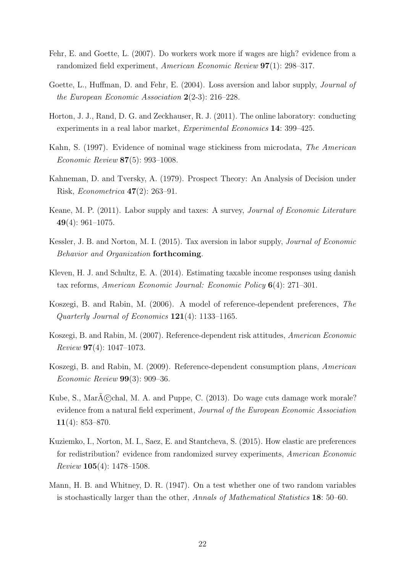- <span id="page-24-5"></span>Fehr, E. and Goette, L. (2007). Do workers work more if wages are high? evidence from a randomized field experiment, American Economic Review 97(1): 298–317.
- <span id="page-24-4"></span>Goette, L., Huffman, D. and Fehr, E. (2004). Loss aversion and labor supply, Journal of the European Economic Association  $2(2-3)$ : 216–228.
- <span id="page-24-10"></span>Horton, J. J., Rand, D. G. and Zeckhauser, R. J. (2011). The online laboratory: conducting experiments in a real labor market, Experimental Economics 14: 399–425.
- <span id="page-24-2"></span>Kahn, S. (1997). Evidence of nominal wage stickiness from microdata, The American Economic Review 87(5): 993–1008.
- <span id="page-24-0"></span>Kahneman, D. and Tversky, A. (1979). Prospect Theory: An Analysis of Decision under Risk, Econometrica 47(2): 263–91.
- <span id="page-24-1"></span>Keane, M. P. (2011). Labor supply and taxes: A survey, Journal of Economic Literature 49(4):  $961-1075$ .
- <span id="page-24-13"></span>Kessler, J. B. and Norton, M. I. (2015). Tax aversion in labor supply, Journal of Economic Behavior and Organization forthcoming.
- <span id="page-24-9"></span>Kleven, H. J. and Schultz, E. A. (2014). Estimating taxable income responses using danish tax reforms, American Economic Journal: Economic Policy 6(4): 271–301.
- <span id="page-24-6"></span>Koszegi, B. and Rabin, M. (2006). A model of reference-dependent preferences, The Quarterly Journal of Economics 121(4): 1133–1165.
- <span id="page-24-7"></span>Koszegi, B. and Rabin, M. (2007). Reference-dependent risk attitudes, American Economic  $Review 97(4): 1047-1073.$
- <span id="page-24-8"></span>Koszegi, B. and Rabin, M. (2009). Reference-dependent consumption plans, American Economic Review 99(3): 909–36.
- <span id="page-24-3"></span>Kube, S., MarA©chal, M. A. and Puppe, C. (2013). Do wage cuts damage work morale? evidence from a natural field experiment, Journal of the European Economic Association 11(4):  $853 - 870$ .
- <span id="page-24-11"></span>Kuziemko, I., Norton, M. I., Saez, E. and Stantcheva, S. (2015). How elastic are preferences for redistribution? evidence from randomized survey experiments, American Economic Review 105(4): 1478–1508.
- <span id="page-24-12"></span>Mann, H. B. and Whitney, D. R. (1947). On a test whether one of two random variables is stochastically larger than the other, Annals of Mathematical Statistics 18: 50–60.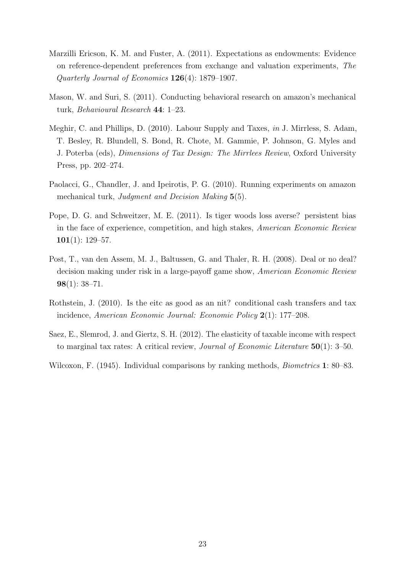- <span id="page-25-3"></span>Marzilli Ericson, K. M. and Fuster, A. (2011). Expectations as endowments: Evidence on reference-dependent preferences from exchange and valuation experiments, The Quarterly Journal of Economics 126(4): 1879–1907.
- <span id="page-25-7"></span>Mason, W. and Suri, S. (2011). Conducting behavioral research on amazon's mechanical turk, Behavioural Research 44: 1–23.
- <span id="page-25-1"></span>Meghir, C. and Phillips, D. (2010). Labour Supply and Taxes, in J. Mirrless, S. Adam, T. Besley, R. Blundell, S. Bond, R. Chote, M. Gammie, P. Johnson, G. Myles and J. Poterba (eds), Dimensions of Tax Design: The Mirrlees Review, Oxford University Press, pp. 202–274.
- <span id="page-25-6"></span>Paolacci, G., Chandler, J. and Ipeirotis, P. G. (2010). Running experiments on amazon mechanical turk, Judgment and Decision Making 5(5).
- <span id="page-25-4"></span>Pope, D. G. and Schweitzer, M. E. (2011). Is tiger woods loss averse? persistent bias in the face of experience, competition, and high stakes, American Economic Review  $101(1): 129-57.$
- <span id="page-25-2"></span>Post, T., van den Assem, M. J., Baltussen, G. and Thaler, R. H. (2008). Deal or no deal? decision making under risk in a large-payoff game show, American Economic Review  $98(1): 38-71.$
- <span id="page-25-0"></span>Rothstein, J. (2010). Is the eitc as good as an nit? conditional cash transfers and tax incidence, American Economic Journal: Economic Policy 2(1): 177–208.
- <span id="page-25-5"></span>Saez, E., Slemrod, J. and Giertz, S. H. (2012). The elasticity of taxable income with respect to marginal tax rates: A critical review, *Journal of Economic Literature*  $50(1)$ : 3–50.
- <span id="page-25-8"></span>Wilcoxon, F. (1945). Individual comparisons by ranking methods, *Biometrics* 1: 80–83.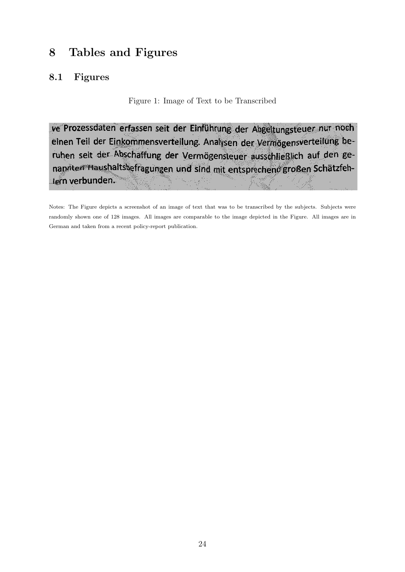## 8 Tables and Figures

### <span id="page-26-0"></span>8.1 Figures

Figure 1: Image of Text to be Transcribed

ve Prozessdaten erfassen seit der Einführung der Abgeltungsteuer nur noch einen Teil der Einkommensverteilung. Analysen der Vermögensverteilung beruhen seit der Abschaffung der Vermögensteuer ausschließlich auf den genannten Haushaltsbefragungen und sind mit entsprechend großen Schätzfehlern verbunden.

Notes: The Figure depicts a screenshot of an image of text that was to be transcribed by the subjects. Subjects were randomly shown one of 128 images. All images are comparable to the image depicted in the Figure. All images are in German and taken from a recent policy-report publication.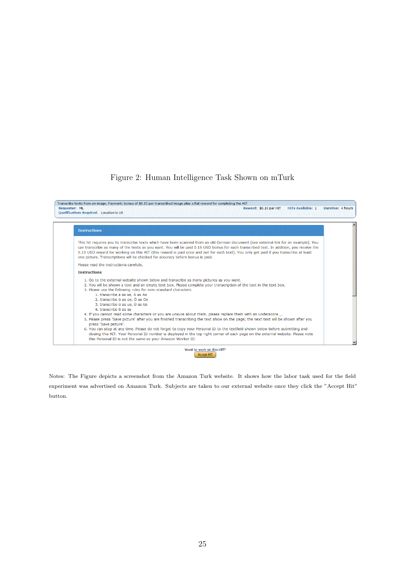#### Figure 2: Human Intelligence Task Shown on mTurk

<span id="page-27-0"></span>

Notes: The Figure depicts a screenshot from the Amazon Turk website. It shows how the labor task used for the field experiment was advertised on Amazon Turk. Subjects are taken to our external website once they click the "Accept Hit" button.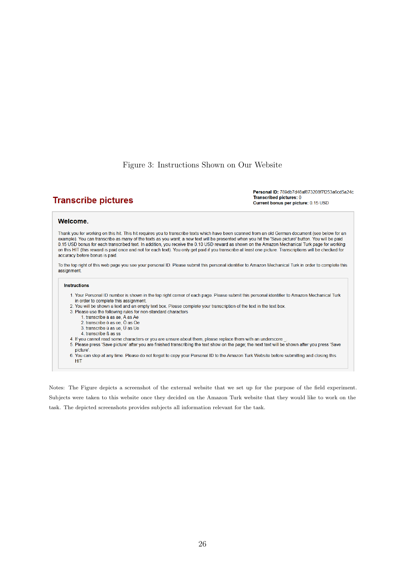#### Figure 3: Instructions Shown on Our Website

#### <span id="page-28-0"></span>**Transcribe pictures**

Personal ID: 789db7d48af873208f7f253a6cd5a24c Transcribed pictures: 0 Current bonus per picture: 0.15 USD

#### **Welcome.**

Thank you for working on this hit. This hit requires you to transcribe texts which have been scanned from an old German document (see below for an example). You can transcribe as many of the texts as you want; a new text will be presented when you hit the 'Save picture' button. You will be paid 0.15 USD bonus for each transcribed text. In addition, you receive the 0.10 USD reward as shown on the Amazon Mechanical Turk page for working on this HIT (this reward is paid once and not for each text). You only get paid if you transcribe at least one picture. Transcriptions will be checked for accuracy before bonus is paid.

To the top right of this web page you see your personal ID. Please submit this personal identifier to Amazon Mechanical Turk in order to complete this assignment.

#### **Instructions**

- 1. Your Personal ID number is shown in the top right corner of each page. Please submit this personal identifier to Amazon Mechanical Turk in order to complete this assignment.
- 2. You will be shown a text and an empty text box. Please complete your transcription of the text in the text box.
- 3. Please use the following rules for non-standard characters
	- 1. transcribe ä as ae, Ä as Ae
	- 2. transcribe ö as oe, Ö as Oe
	- 3. transcribe ü as ue, Ü as Ue
	- 4. transcribe ß as ss
- 4. If you cannot read some characters or you are unsure about them, please replace them with an underscore
- 5. Please press 'Save picture' after you are finished transcribing the text show on the page; the next text will be shown after you press 'Save picture'
- 6. You can stop at any time. Please do not forget to copy your Personal ID to the Amazon Turk Website before submitting and closing this **HIT**

Notes: The Figure depicts a screenshot of the external website that we set up for the purpose of the field experiment. Subjects were taken to this website once they decided on the Amazon Turk website that they would like to work on the task. The depicted screenshots provides subjects all information relevant for the task.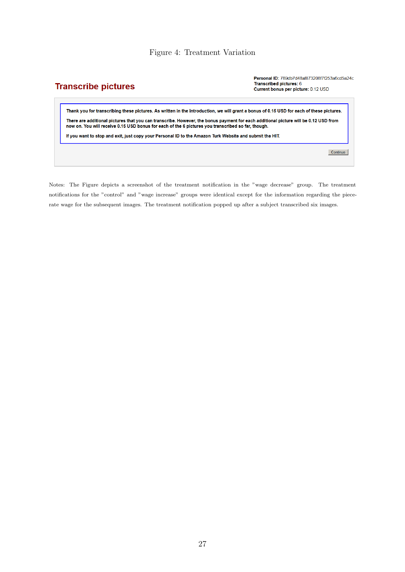#### Figure 4: Treatment Variation

### <span id="page-29-0"></span>**Transcribe pictures**

Personal ID: 789db7d48af873208f7f253a6cd5a24c **Transcribed pictures: 6** Current bonus per picture: 0.12 USD

Thank you for transcribing these pictures. As written in the introduction, we will grant a bonus of 0.15 USD for each of these pictures. There are additional pictures that you can transcribe. However, the bonus payment for each additional picture will be 0.12 USD from now on. You will receive 0.15 USD bonus for each of the 6 pictures you transcribed so far, though.

If you want to stop and exit, just copy your Personal ID to the Amazon Turk Website and submit the HIT.

Continue

Notes: The Figure depicts a screenshot of the treatment notification in the "wage decrease" group. The treatment notifications for the "control" and "wage increase" groups were identical except for the information regarding the piecerate wage for the subsequent images. The treatment notification popped up after a subject transcribed six images.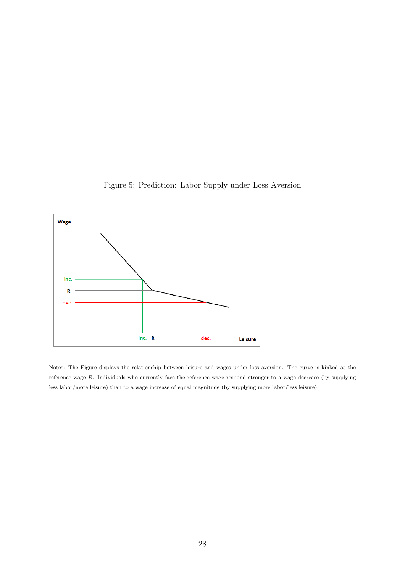

<span id="page-30-0"></span>

Notes: The Figure displays the relationship between leisure and wages under loss aversion. The curve is kinked at the reference wage R. Individuals who currently face the reference wage respond stronger to a wage decrease (by supplying less labor/more leisure) than to a wage increase of equal magnitude (by supplying more labor/less leisure).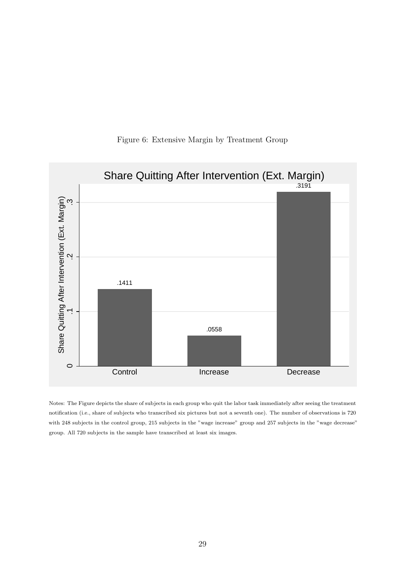<span id="page-31-0"></span>

#### Figure 6: Extensive Margin by Treatment Group

Notes: The Figure depicts the share of subjects in each group who quit the labor task immediately after seeing the treatment notification (i.e., share of subjects who transcribed six pictures but not a seventh one). The number of observations is 720 with 248 subjects in the control group, 215 subjects in the "wage increase" group and 257 subjects in the "wage decrease" group. All 720 subjects in the sample have transcribed at least six images.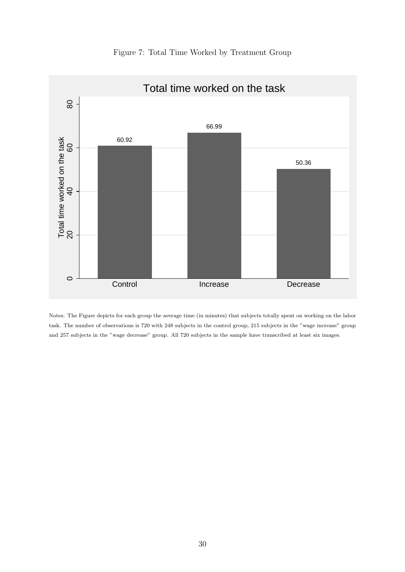<span id="page-32-0"></span>

Figure 7: Total Time Worked by Treatment Group

Notes: The Figure depicts for each group the average time (in minutes) that subjects totally spent on working on the labor task. The number of observations is 720 with 248 subjects in the control group, 215 subjects in the "wage increase" group and 257 subjects in the "wage decrease" group. All 720 subjects in the sample have transcribed at least six images.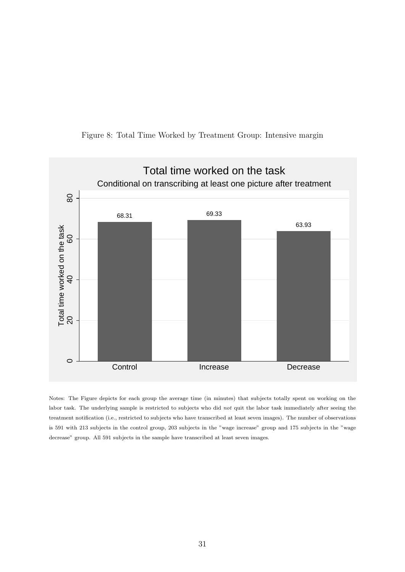<span id="page-33-0"></span>



Notes: The Figure depicts for each group the average time (in minutes) that subjects totally spent on working on the labor task. The underlying sample is restricted to subjects who did not quit the labor task immediately after seeing the treatment notification (i.e., restricted to subjects who have transcribed at least seven images). The number of observations is 591 with 213 subjects in the control group, 203 subjects in the "wage increase" group and 175 subjects in the "wage decrease" group. All 591 subjects in the sample have transcribed at least seven images.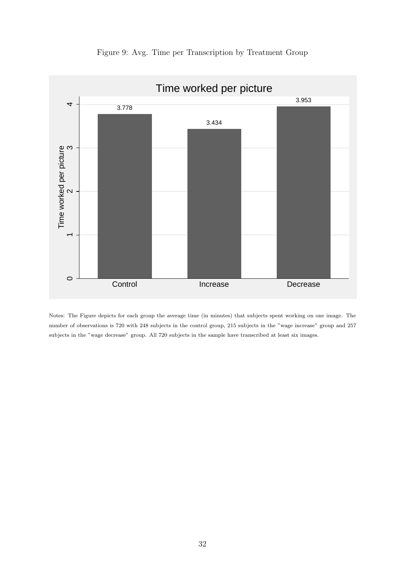<span id="page-34-0"></span>

Figure 9: Avg. Time per Transcription by Treatment Group

Notes: The Figure depicts for each group the average time (in minutes) that subjects spent working on one image. The number of observations is 720 with 248 subjects in the control group, 215 subjects in the "wage increase" group and 257 subjects in the "wage decrease" group. All 720 subjects in the sample have transcribed at least six images.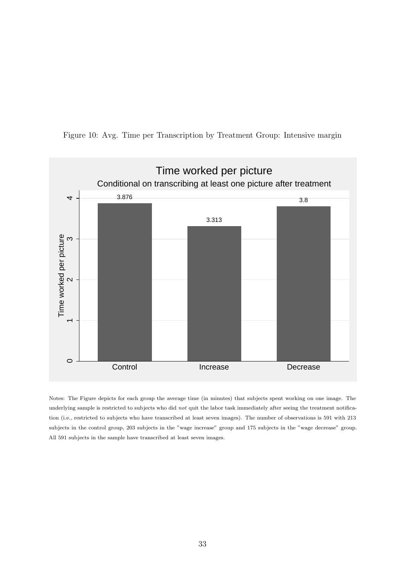<span id="page-35-0"></span>



Notes: The Figure depicts for each group the average time (in minutes) that subjects spent working on one image. The underlying sample is restricted to subjects who did not quit the labor task immediately after seeing the treatment notification (i.e., restricted to subjects who have transcribed at least seven images). The number of observations is 591 with 213 subjects in the control group, 203 subjects in the "wage increase" group and 175 subjects in the "wage decrease" group. All 591 subjects in the sample have transcribed at least seven images.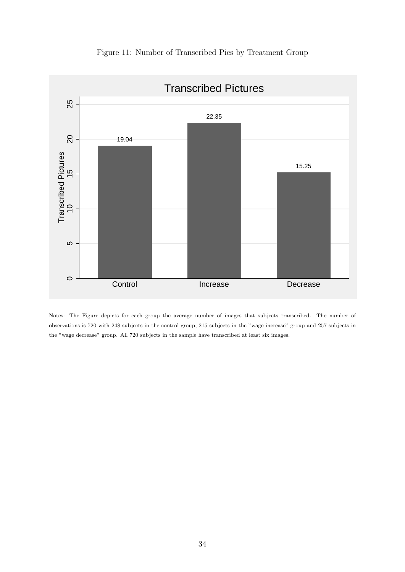<span id="page-36-0"></span>

Figure 11: Number of Transcribed Pics by Treatment Group

Notes: The Figure depicts for each group the average number of images that subjects transcribed. The number of observations is 720 with 248 subjects in the control group, 215 subjects in the "wage increase" group and 257 subjects in the "wage decrease" group. All 720 subjects in the sample have transcribed at least six images.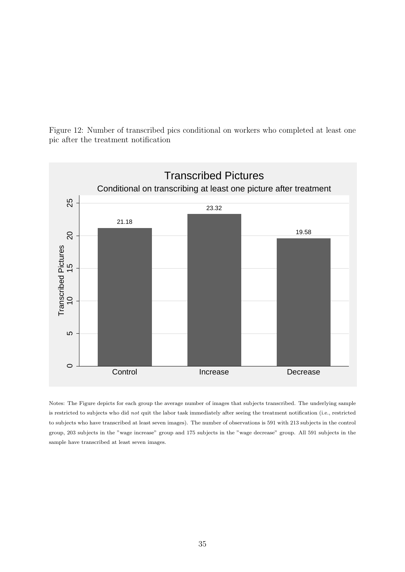<span id="page-37-0"></span>Figure 12: Number of transcribed pics conditional on workers who completed at least one pic after the treatment notification



Notes: The Figure depicts for each group the average number of images that subjects transcribed. The underlying sample is restricted to subjects who did not quit the labor task immediately after seeing the treatment notification (i.e., restricted to subjects who have transcribed at least seven images). The number of observations is 591 with 213 subjects in the control group, 203 subjects in the "wage increase" group and 175 subjects in the "wage decrease" group. All 591 subjects in the sample have transcribed at least seven images.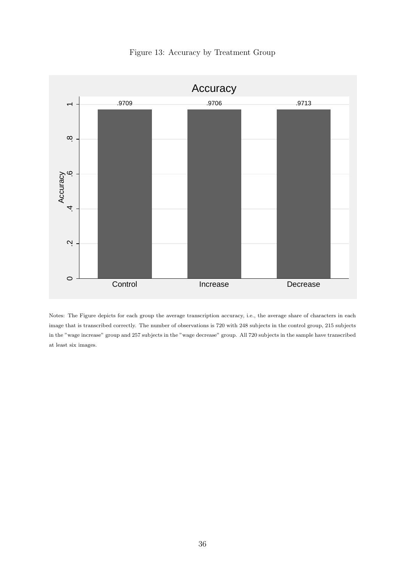<span id="page-38-0"></span>

Figure 13: Accuracy by Treatment Group

Notes: The Figure depicts for each group the average transcription accuracy, i.e., the average share of characters in each image that is transcribed correctly. The number of observations is 720 with 248 subjects in the control group, 215 subjects in the "wage increase" group and 257 subjects in the "wage decrease" group. All 720 subjects in the sample have transcribed at least six images.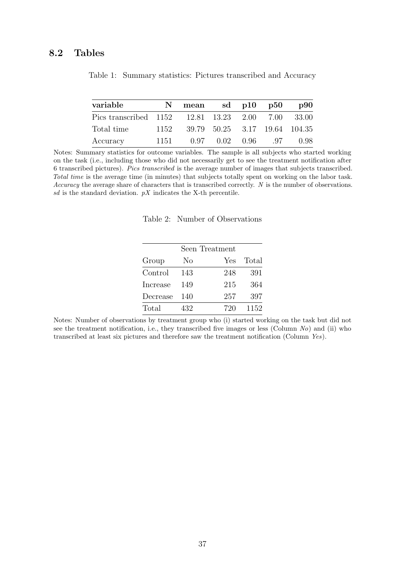#### <span id="page-39-0"></span>8.2 Tables

| variable                                          |      | mean |                | sd $p10$ $p50$ |     | <b>p90</b>                    |
|---------------------------------------------------|------|------|----------------|----------------|-----|-------------------------------|
| Pics transcribed 1152 12.81 13.23 2.00 7.00 33.00 |      |      |                |                |     |                               |
| Total time                                        | 1152 |      |                |                |     | 39.79 50.25 3.17 19.64 104.35 |
| Accuracy                                          | 1151 |      | 0.97 0.02 0.96 |                | .97 | 0.98                          |

Table 1: Summary statistics: Pictures transcribed and Accuracy

<span id="page-39-1"></span>Notes: Summary statistics for outcome variables. The sample is all subjects who started working on the task (i.e., including those who did not necessarily get to see the treatment notification after 6 transcribed pictures). Pics transcribed is the average number of images that subjects transcribed. Total time is the average time (in minutes) that subjects totally spent on working on the labor task. Accuracy the average share of characters that is transcribed correctly. N is the number of observations. sd is the standard deviation.  $pX$  indicates the X-th percentile.

Table 2: Number of Observations

|          | Seen Treatment |     |       |  |  |  |
|----------|----------------|-----|-------|--|--|--|
| Group    | No             | Yes | Total |  |  |  |
| Control  | 143            | 248 | 391   |  |  |  |
| Increase | 149            | 215 | 364   |  |  |  |
| Decrease | 140            | 257 | 397   |  |  |  |
| Total    | 432            | 720 | 1152  |  |  |  |

Notes: Number of observations by treatment group who (i) started working on the task but did not see the treatment notification, i.e., they transcribed five images or less (Column  $No$ ) and (ii) who transcribed at least six pictures and therefore saw the treatment notification (Column Yes).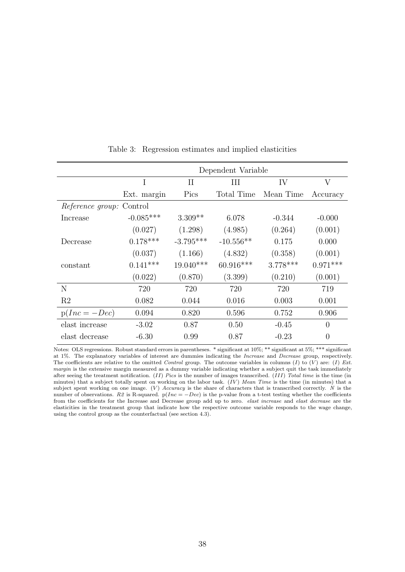<span id="page-40-0"></span>

|                                 | Dependent Variable |             |             |            |                |  |  |  |
|---------------------------------|--------------------|-------------|-------------|------------|----------------|--|--|--|
|                                 | I                  | $\rm II$    | Ш           | IV         | V              |  |  |  |
|                                 | Ext. margin        | Pics        | Total Time  | Mean Time  | Accuracy       |  |  |  |
| <i>Reference group:</i> Control |                    |             |             |            |                |  |  |  |
| Increase                        | $-0.085***$        | $3.309**$   | 6.078       | $-0.344$   | $-0.000$       |  |  |  |
|                                 | (0.027)            | (1.298)     | (4.985)     | (0.264)    | (0.001)        |  |  |  |
| Decrease                        | $0.178***$         | $-3.795***$ | $-10.556**$ | 0.175      | 0.000          |  |  |  |
|                                 | (0.037)            | (1.166)     | (4.832)     | (0.358)    | (0.001)        |  |  |  |
| constant                        | $0.141***$         | $19.040***$ | $60.916***$ | $3.778***$ | $0.971***$     |  |  |  |
|                                 | (0.022)            | (0.870)     | (3.399)     | (0.210)    | (0.001)        |  |  |  |
| N                               | 720                | 720         | 720         | 720        | 719            |  |  |  |
| R2                              | 0.082              | 0.044       | 0.016       | 0.003      | 0.001          |  |  |  |
| $p(Inc = -Dec)$                 | 0.094              | 0.820       | 0.596       | 0.752      | 0.906          |  |  |  |
| elast increase                  | $-3.02$            | 0.87        | 0.50        | $-0.45$    | $\theta$       |  |  |  |
| elast decrease                  | $-6.30$            | 0.99        | 0.87        | $-0.23$    | $\overline{0}$ |  |  |  |

Table 3: Regression estimates and implied elasticities

Notes: OLS regressions. Robust standard errors in parentheses. \* significant at 10%; \*\* significant at 5%; \*\*\* significant at 1%. The explanatory variables of interest are dummies indicating the Increase and Decrease group, respectively. The coefficients are relative to the omitted Control group. The outcome variables in columns (I) to (V) are: (I) Ext. margin is the extensive margin measured as a dummy variable indicating whether a subject quit the task immediately after seeing the treatment notification.  $(II)$  Pics is the number of images transcribed.  $(III)$  Total time is the time (in minutes) that a subject totally spent on working on the labor task.  $(IV)$  Mean Time is the time (in minutes) that a subject spent working on one image.  $(V)$  Accuracy is the share of characters that is transcribed correctly. N is the number of observations. R2 is R-squared.  $p(Inc = -Dec)$  is the p-value from a t-test testing whether the coefficients from the coefficients for the Increase and Decrease group add up to zero. elast increase and elast decrease are the elasticities in the treatment group that indicate how the respective outcome variable responds to the wage change, using the control group as the counterfactual (see section [4.3\)](#page-15-2).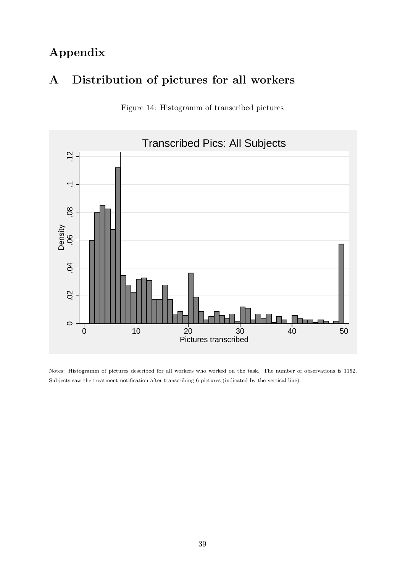# Appendix

## <span id="page-41-0"></span>A Distribution of pictures for all workers





Notes: Histogramm of pictures described for all workers who worked on the task. The number of observations is 1152. Subjects saw the treatment notification after transcribing 6 pictures (indicated by the vertical line).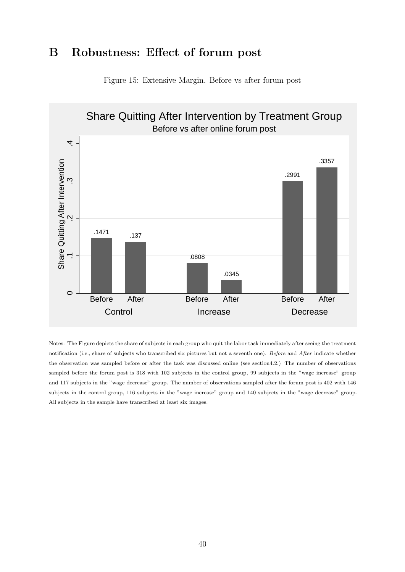### <span id="page-42-0"></span>B Robustness: Effect of forum post



Figure 15: Extensive Margin. Before vs after forum post

Notes: The Figure depicts the share of subjects in each group who quit the labor task immediately after seeing the treatment notification (i.e., share of subjects who transcribed six pictures but not a seventh one). Before and After indicate whether the observation was sampled before or after the task was discussed online (see sectio[n4.2.](#page-13-1)) The number of observations sampled before the forum post is 318 with 102 subjects in the control group, 99 subjects in the "wage increase" group and 117 subjects in the "wage decrease" group. The number of observations sampled after the forum post is 402 with 146 subjects in the control group, 116 subjects in the "wage increase" group and 140 subjects in the "wage decrease" group. All subjects in the sample have transcribed at least six images.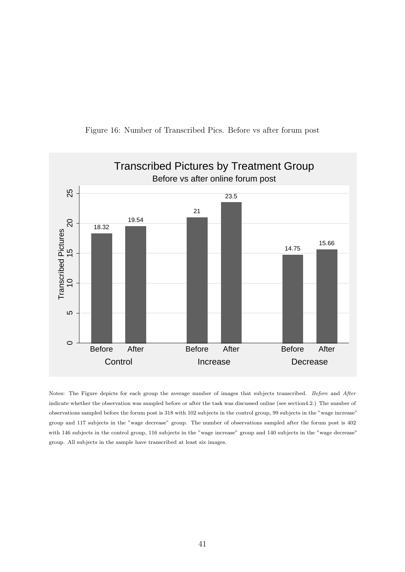

Figure 16: Number of Transcribed Pics. Before vs after forum post

Notes: The Figure depicts for each group the average number of images that subjects transcribed. Before and After indicate whether the observation was sampled before or after the task was discussed online (see sectio[n4.2.](#page-13-1)) The number of observations sampled before the forum post is 318 with 102 subjects in the control group, 99 subjects in the "wage increase" group and 117 subjects in the "wage decrease" group. The number of observations sampled after the forum post is 402 with 146 subjects in the control group, 116 subjects in the "wage increase" group and 140 subjects in the "wage decrease" group. All subjects in the sample have transcribed at least six images.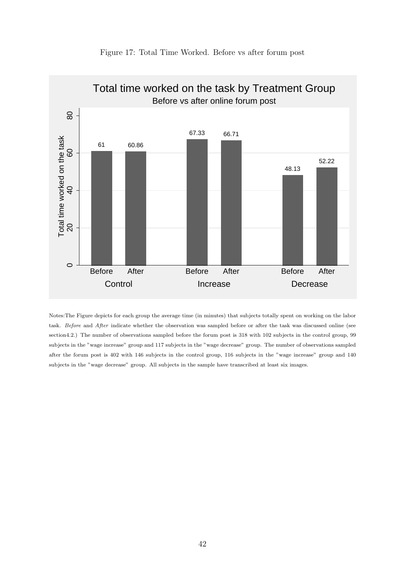

Notes:The Figure depicts for each group the average time (in minutes) that subjects totally spent on working on the labor task. Before and After indicate whether the observation was sampled before or after the task was discussed online (see sectio[n4.2.](#page-13-1)) The number of observations sampled before the forum post is 318 with 102 subjects in the control group, 99 subjects in the "wage increase" group and 117 subjects in the "wage decrease" group. The number of observations sampled after the forum post is 402 with 146 subjects in the control group, 116 subjects in the "wage increase" group and 140 subjects in the "wage decrease" group. All subjects in the sample have transcribed at least six images.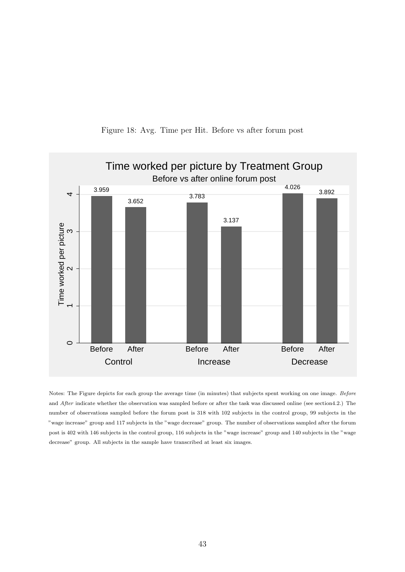

Figure 18: Avg. Time per Hit. Before vs after forum post

Notes: The Figure depicts for each group the average time (in minutes) that subjects spent working on one image. Before and After indicate whether the observation was sampled before or after the task was discussed online (see sectio[n4.2.](#page-13-1)) The number of observations sampled before the forum post is 318 with 102 subjects in the control group, 99 subjects in the "wage increase" group and 117 subjects in the "wage decrease" group. The number of observations sampled after the forum post is 402 with 146 subjects in the control group, 116 subjects in the "wage increase" group and 140 subjects in the "wage decrease" group. All subjects in the sample have transcribed at least six images.